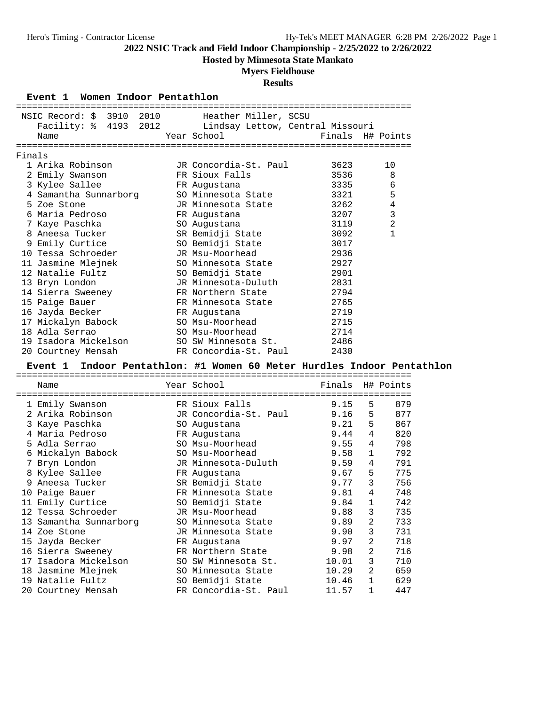**Hosted by Minnesota State Mankato**

## **Myers Fieldhouse**

### **Results**

#### **Event 1 Women Indoor Pentathlon**

|        | NSIC Record: \$ 3910 2010 Heather Miller, SCSU         |                                                                |                  |   |              |  |
|--------|--------------------------------------------------------|----------------------------------------------------------------|------------------|---|--------------|--|
|        | Facility: % 4193 2012 Lindsay Lettow, Central Missouri |                                                                |                  |   |              |  |
|        | Name                                                   | Year School                                                    | Finals H# Points |   |              |  |
|        |                                                        |                                                                |                  |   |              |  |
| Finals |                                                        |                                                                |                  |   |              |  |
|        | 1 Arika Robinson                                       | JR Concordia-St. Paul                                          | 3623             |   | 10           |  |
|        | 2 Emily Swanson                                        | FR Sioux Falls                                                 | 3536             |   | 8            |  |
|        | 3 Kylee Sallee                                         | FR Augustana                                                   | 3335             |   | 6            |  |
|        | 4 Samantha Sunnarborg                                  | SO Minnesota State                                             | 3321             |   | 5            |  |
|        | 5 Zoe Stone                                            | JR Minnesota State                                             | 3262             |   | $\,4$        |  |
|        | 6 Maria Pedroso                                        | FR Augustana                                                   | 3207             |   | $\mathbf{3}$ |  |
|        | 7 Kaye Paschka                                         | SO Augustana                                                   | 3119             |   | $\sqrt{2}$   |  |
|        | 8 Aneesa Tucker                                        | SR Bemidji State                                               | 3092             |   | 1            |  |
|        | 9 Emily Curtice                                        | SO Bemidji State                                               | 3017             |   |              |  |
|        | 10 Tessa Schroeder                                     | JR Msu-Moorhead                                                | 2936             |   |              |  |
|        | 11 Jasmine Mlejnek                                     | SO Minnesota State                                             | 2927             |   |              |  |
|        | 12 Natalie Fultz                                       | SO Bemidji State                                               | 2901             |   |              |  |
|        | 13 Bryn London                                         | JR Minnesota-Duluth                                            | 2831             |   |              |  |
|        | 14 Sierra Sweeney                                      | FR Northern State                                              | 2794             |   |              |  |
|        | 15 Paige Bauer                                         | FR Minnesota State                                             | 2765             |   |              |  |
|        |                                                        |                                                                | 2719             |   |              |  |
|        | 16 Jayda Becker                                        | FR Augustana<br>SO Msu-Moorhead                                | 2715             |   |              |  |
|        | 17 Mickalyn Babock                                     | SO Msu-Moorhead                                                |                  |   |              |  |
|        | 18 Adla Serrao                                         |                                                                | 2714             |   |              |  |
|        | 19 Isadora Mickelson<br>20 Courtney Mensah             | SO SW Minnesota St.                                            | 2486             |   |              |  |
|        |                                                        | FR Concordia-St. Paul                                          | 2430             |   |              |  |
|        |                                                        |                                                                |                  |   |              |  |
|        | <b>Event 1</b>                                         | Indoor Pentathlon: #1 Women 60 Meter Hurdles Indoor Pentathlon |                  |   |              |  |
|        |                                                        |                                                                |                  |   |              |  |
|        | Name                                                   | Year School                                                    | Finals H# Points |   |              |  |
|        |                                                        |                                                                |                  |   |              |  |
|        | 1 Emily Swanson                                        | FR Sioux Falls                                                 | 9.15             | 5 | 879          |  |
|        | 2 Arika Robinson                                       | JR Concordia-St. Paul                                          | 9.16             | 5 | 877          |  |
|        | 3 Kaye Paschka                                         | SO Augustana                                                   | 9.21             | 5 | 867          |  |
|        | 4 Maria Pedroso                                        | FR Augustana                                                   | 9.44             | 4 | 820          |  |
|        | 5 Adla Serrao                                          | SO Msu-Moorhead                                                | 9.55             | 4 | 798          |  |
|        | 6 Mickalyn Babock                                      | SO Msu-Moorhead                                                | 9.58             | 1 | 792          |  |
|        | 7 Bryn London                                          | JR Minnesota-Duluth                                            | 9.59             | 4 | 791          |  |
|        | 8 Kylee Sallee                                         | FR Augustana                                                   | 9.67             | 5 | 775          |  |
|        | 9 Aneesa Tucker                                        | SR Bemidji State                                               | 9.77             | 3 | 756          |  |
|        |                                                        | FR Minnesota State                                             | 9.81             | 4 | 748          |  |
|        | 10 Paige Bauer<br>11 Emily Curtice                     |                                                                | $9.84$ 1         |   | 742          |  |
|        | 12 Tessa Schroeder                                     | SO Bemidji State<br>JR Msu-Moorhead                            | 9.88             | 3 | 735          |  |
|        | 13 Samantha Sunnarborg                                 | SO Minnesota State                                             | 9.89             | 2 | 733          |  |
|        | 14 Zoe Stone                                           | JR Minnesota State                                             | 9.90             | 3 | 731          |  |
|        | 15 Jayda Becker                                        | FR Augustana                                                   | 9.97             | 2 | 718          |  |
|        |                                                        |                                                                |                  | 2 |              |  |
|        | 16 Sierra Sweeney                                      | FR Northern State                                              | 9.98             | 3 | 716          |  |
|        | 17 Isadora Mickelson                                   | SO SW Minnesota St.                                            | 10.01            | 2 | 710          |  |
|        | 18 Jasmine Mlejnek                                     | SO Minnesota State                                             | 10.29            | 1 | 659          |  |
|        | 19 Natalie Fultz<br>20 Courtney Mensah                 | SO Bemidji State<br>FR Concordia-St. Paul                      | 10.46<br>11.57   | 1 | 629<br>447   |  |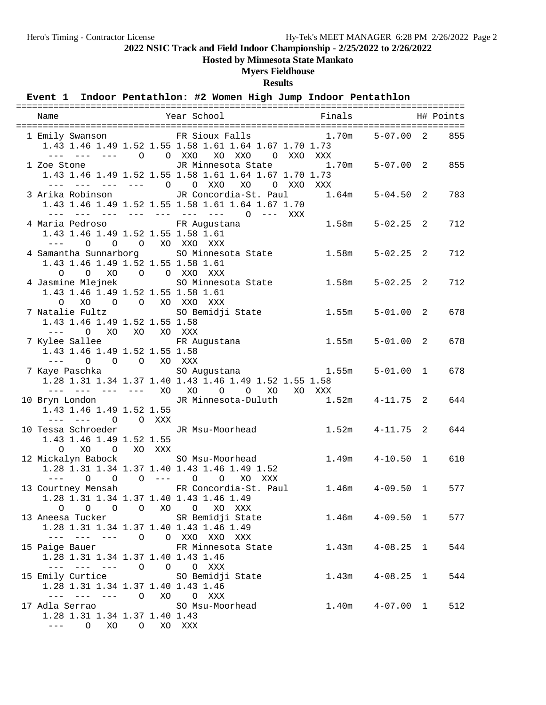**Hosted by Minnesota State Mankato**

### **Myers Fieldhouse**

**Results**

## **Event 1 Indoor Pentathlon: #2 Women High Jump Indoor Pentathlon**

| Name                                                                           |                | Year School<br><b>Example 18</b> Finals                                                                                                                                     |        |                     | H# Points |
|--------------------------------------------------------------------------------|----------------|-----------------------------------------------------------------------------------------------------------------------------------------------------------------------------|--------|---------------------|-----------|
|                                                                                |                | 1 Emily Swanson FR Sioux Falls 1.70m<br>1.43 1.46 1.49 1.52 1.55 1.58 1.61 1.64 1.67 1.70 1.73<br>--- 0 0 XXO XO XXO 0 XXO XXX                                              |        | $5 - 07.00$ 2       | 855       |
| 1 Zoe Stone<br>--- --- --- --- 0                                               |                | JR Minnesota State 1.70m<br>1.43 1.46 1.49 1.52 1.55 1.58 1.61 1.64 1.67 1.70 1.73<br>O XXO<br>XO<br>O XXO                                                                  | XXX    | $5 - 07.00$ 2       | 855       |
| 3 Arika Robinson                                                               |                | JR Concordia-St. Paul<br>1.43 1.46 1.49 1.52 1.55 1.58 1.61 1.64 1.67 1.70<br>--- --- --- --- --- --- --- 0 --- XXX                                                         | 1.64m  | $5 - 04.50$ 2       | 783       |
| 4 Maria Pedroso<br>1.43 1.46 1.49 1.52 1.55 1.58 1.61<br>$\Omega$<br>$---$     |                | FR Augustana<br>O O XO XXO XXX                                                                                                                                              | 1.58m  | $5 - 02.25$ 2       | 712       |
| 1.43 1.46 1.49 1.52 1.55 1.58 1.61<br>0 0 XO 0 0 XXO XXX                       |                | 4 Samantha Sunnarborg 50 Minnesota State                                                                                                                                    | 1.58m  | $5 - 02.25$ 2       | 712       |
| 4 Jasmine Mlejnek<br>1.43 1.46 1.49 1.52 1.55 1.58 1.61<br>XO<br>$\circ$       |                | SO Minnesota State<br>O O XO XXO XXX                                                                                                                                        | 1.58m  | $5 - 02.25$ 2       | 712       |
| 7 Natalie Fultz<br>1.43 1.46 1.49 1.52 1.55 1.58<br>$--- 0 X0 X0 X0 X0 X0 XXX$ |                | SO Bemidji State                                                                                                                                                            | 1.55m  | $5 - 01.00$ 2       | 678       |
| 7 Kylee Sallee<br>1.43 1.46 1.49 1.52 1.55 1.58<br>$\Omega$<br>$- - - -$       | O O XO XXX     | FR Augustana                                                                                                                                                                | 1.55m  | $5 - 01.00$ 2       | 678       |
|                                                                                |                | 7 Kaye Paschka                           SO Augustana                       1.55m<br>1.28 1.31 1.34 1.37 1.40 1.43 1.46 1.49 1.52 1.55 1.58<br>--- --- --- --- XO XO O O XO | XO XXX | $5 - 01.00$ 1       | 678       |
| 1.43 1.46 1.49 1.52 1.55                                                       | O O XXX        | 10 Bryn London JR Minnesota-Duluth 1.52m                                                                                                                                    |        | $4 - 11.75$ 2       | 644       |
| 10 Tessa Schroeder<br>1.43 1.46 1.49 1.52 1.55<br>XO<br>$\circ$                | O XO XXX       | JR Msu-Moorhead                                                                                                                                                             | 1.52m  | $4 - 11.75$ 2       | 644       |
| 12 Mickalyn Babock<br>$\Omega$<br>$- - - -$                                    | $0 \t 0 \t --$ | SO Msu-Moorhead<br>1.28 1.31 1.34 1.37 1.40 1.43 1.46 1.49 1.52<br>$\circ$<br>$\circ$<br>XO XXX                                                                             | 1.49m  | $4 - 10.50$ 1       | 610       |
| 1.28 1.31 1.34 1.37 1.40 1.43 1.46 1.49                                        |                | 13 Courtney Mensah 6 FR Concordia-St. Paul 1.46m<br>0 0 0 0 XO 0 XO XXX                                                                                                     |        | $4 - 09.50$ 1       | 577       |
| 1.28 1.31 1.34 1.37 1.40 1.43 1.46 1.49                                        |                | 13 Aneesa Tucker SR Bemidji State<br>--- --- --- 0 0 XXO XXO XXX                                                                                                            |        | $1.46m$ $4-09.50$ 1 | 577       |
| 1.28 1.31 1.34 1.37 1.40 1.43 1.46<br>--- --- --- 0 0 0 XXX                    |                | 15 Paige Bauer FR Minnesota State                                                                                                                                           |        | $1.43m$ $4-08.25$ 1 | 544       |
| 1.28 1.31 1.34 1.37 1.40 1.43 1.46<br>--- --- --- 0 XO                         |                | 15 Emily Curtice 50 Bemidji State<br>O XXX                                                                                                                                  |        | $1.43m$ $4-08.25$ 1 | 544       |
| 17 Adla Serrao<br>1.28 1.31 1.34 1.37 1.40 1.43<br>--- 0 XO 0 XO XXX           |                | SO Msu-Moorhead                                                                                                                                                             |        | $1.40m$ $4-07.00$ 1 | 512       |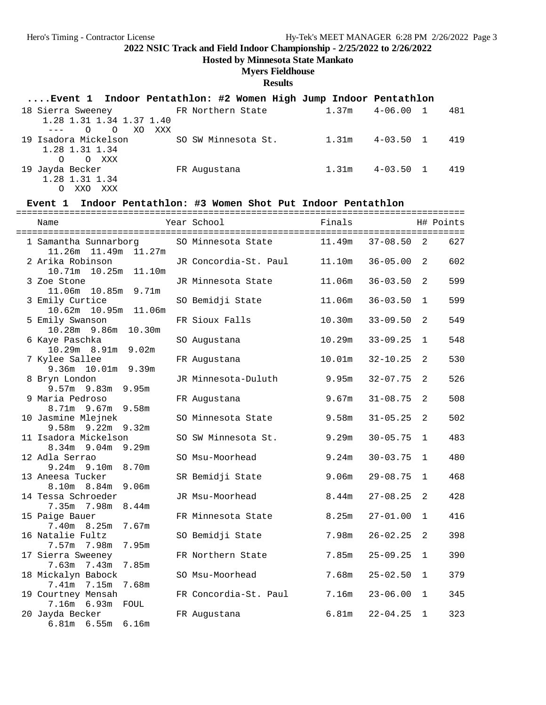**Hosted by Minnesota State Mankato**

## **Myers Fieldhouse**

**Results**

| Event 1 Indoor Pentathlon: #2 Women High Jump Indoor Pentathlon                                                                                                                                                                                                                                                                                                                                         |                     |       |               |     |
|---------------------------------------------------------------------------------------------------------------------------------------------------------------------------------------------------------------------------------------------------------------------------------------------------------------------------------------------------------------------------------------------------------|---------------------|-------|---------------|-----|
| 18 Sierra Sweeney TR Northern State                                                                                                                                                                                                                                                                                                                                                                     |                     | 1.37m | $4 - 06.001$  | 481 |
| 1.28 1.31 1.34 1.37 1.40                                                                                                                                                                                                                                                                                                                                                                                |                     |       |               |     |
| OOXOXXX<br>$\frac{1}{2} \frac{1}{2} \frac{1}{2} \frac{1}{2} \frac{1}{2} \frac{1}{2} \frac{1}{2} \frac{1}{2} \frac{1}{2} \frac{1}{2} \frac{1}{2} \frac{1}{2} \frac{1}{2} \frac{1}{2} \frac{1}{2} \frac{1}{2} \frac{1}{2} \frac{1}{2} \frac{1}{2} \frac{1}{2} \frac{1}{2} \frac{1}{2} \frac{1}{2} \frac{1}{2} \frac{1}{2} \frac{1}{2} \frac{1}{2} \frac{1}{2} \frac{1}{2} \frac{1}{2} \frac{1}{2} \frac{$ |                     |       |               |     |
| 19 Isadora Mickelson                                                                                                                                                                                                                                                                                                                                                                                    | SO SW Minnesota St. | 1.31m | $4 - 03.50$ 1 | 419 |
| 1.28 1.31 1.34                                                                                                                                                                                                                                                                                                                                                                                          |                     |       |               |     |
| O XXX<br>$\Omega$                                                                                                                                                                                                                                                                                                                                                                                       |                     |       |               |     |
| 19 Jayda Becker                                                                                                                                                                                                                                                                                                                                                                                         | FR Augustana        | 1.31m | $4 - 03.50$ 1 | 419 |
| 1.28 1.31 1.34                                                                                                                                                                                                                                                                                                                                                                                          |                     |       |               |     |
| XXX<br>XXO                                                                                                                                                                                                                                                                                                                                                                                              |                     |       |               |     |

### **Event 1 Indoor Pentathlon: #3 Women Shot Put Indoor Pentathlon**

| Name                                                                 | Year School           | Finals |              |                | H# Points |
|----------------------------------------------------------------------|-----------------------|--------|--------------|----------------|-----------|
| 1 Samantha Sunnarborg                                                | SO Minnesota State    | 11.49m | $37 - 08.50$ | 2              | 627       |
| 11.26m  11.49m  11.27m<br>2 Arika Robinson<br>10.71m  10.25m  11.10m | JR Concordia-St. Paul | 11.10m | $36 - 05.00$ | 2              | 602       |
| 3 Zoe Stone                                                          | JR Minnesota State    | 11.06m | $36 - 03.50$ | 2              | 599       |
| 11.06m  10.85m  9.71m<br>3 Emily Curtice                             | SO Bemidji State      | 11.06m | $36 - 03.50$ | $\mathbf{1}$   | 599       |
| 10.62m<br>5 Emily Swanson                                            | FR Sioux Falls        | 10.30m | $33 - 09.50$ | 2              | 549       |
| 10.28m 9.86m 10.30m<br>6 Kaye Paschka                                | SO Augustana          | 10.29m | $33 - 09.25$ | $\mathbf{1}$   | 548       |
| 10.29m 8.91m 9.02m<br>7 Kylee Sallee                                 | FR Augustana          | 10.01m | $32 - 10.25$ | 2              | 530       |
| 9.36m 10.01m 9.39m<br>8 Bryn London                                  | JR Minnesota-Duluth   | 9.95m  | $32 - 07.75$ | $\overline{2}$ | 526       |
| $9.57m$ 9.83m<br>9.95m<br>9 Maria Pedroso                            | FR Augustana          | 9.67m  | $31 - 08.75$ | 2              | 508       |
| $8.71m$ 9.67m<br>9.58m<br>10 Jasmine Mlejnek                         | SO Minnesota State    | 9.58m  | $31 - 05.25$ | 2              | 502       |
| $9.58m$ $9.22m$<br>9.32m<br>11 Isadora Mickelson                     | SO SW Minnesota St.   | 9.29m  | $30 - 05.75$ | $\mathbf 1$    | 483       |
| 9.29m<br>8.34m 9.04m<br>12 Adla Serrao                               | SO Msu-Moorhead       | 9.24m  | $30 - 03.75$ | $\mathbf{1}$   | 480       |
| 8.70m<br>$9.24m$ $9.10m$<br>13 Aneesa Tucker                         | SR Bemidji State      | 9.06m  | $29 - 08.75$ | $\mathbf{1}$   | 468       |
| $8.10m$ $8.84m$<br>9.06 <sub>m</sub><br>14 Tessa Schroeder           | JR Msu-Moorhead       | 8.44m  | $27 - 08.25$ | 2              | 428       |
| 7.35m 7.98m<br>8.44 <sub>m</sub><br>15 Paige Bauer                   | FR Minnesota State    | 8.25m  | $27 - 01.00$ | $\mathbf{1}$   | 416       |
| 7.40m 8.25m<br>7.67m<br>16 Natalie Fultz                             | SO Bemidji State      | 7.98m  | $26 - 02.25$ | 2              | 398       |
| 7.57m 7.98m<br>7.95m<br>17 Sierra Sweeney                            | FR Northern State     | 7.85m  | $25 - 09.25$ | 1              | 390       |
| 7.85m<br>$7.63m$ $7.43m$<br>18 Mickalyn Babock                       | SO Msu-Moorhead       | 7.68m  | $25 - 02.50$ | $\mathbf 1$    | 379       |
| 7.41m 7.15m<br>7.68m<br>19 Courtney Mensah                           | FR Concordia-St. Paul | 7.16m  | $23 - 06.00$ | $\mathbf{1}$   | 345       |
| 7.16m 6.93m FOUL<br>20 Jayda Becker<br>$6.81m$ $6.55m$ $6.16m$       | FR Augustana          | 6.81m  | $22 - 04.25$ | $\mathbf{1}$   | 323       |
|                                                                      |                       |        |              |                |           |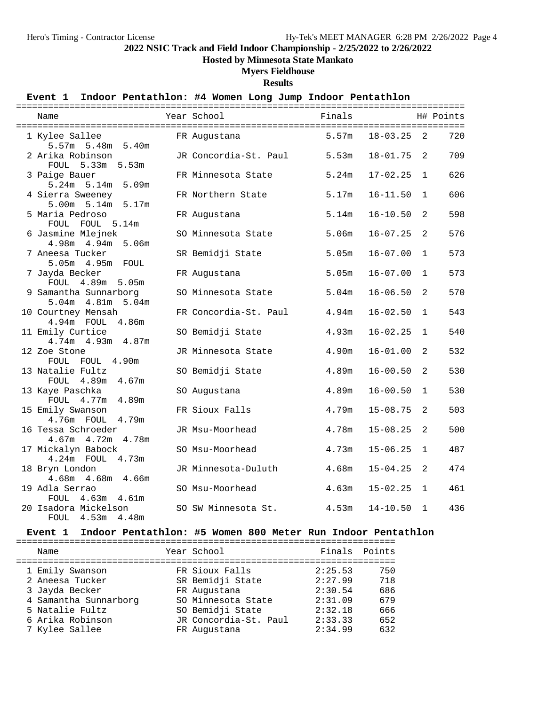**Hosted by Minnesota State Mankato**

### **Myers Fieldhouse**

**Results**

### **Event 1 Indoor Pentathlon: #4 Women Long Jump Indoor Pentathlon**

| Name                                 | Year School                 | Finals |                |                | H# Points |
|--------------------------------------|-----------------------------|--------|----------------|----------------|-----------|
| 1 Kylee Sallee                       | FR Augustana                | 5.57m  | $18 - 03.25$ 2 |                | 720       |
| 5.57m 5.48m 5.40m                    |                             |        |                |                |           |
| 2 Arika Robinson                     | JR Concordia-St. Paul 5.53m |        | $18 - 01.75$   | 2              | 709       |
| FOUL 5.33m 5.53m                     |                             |        |                |                |           |
| 3 Paige Bauer                        | FR Minnesota State          | 5.24m  | $17 - 02.25$ 1 |                | 626       |
| 5.24m 5.14m 5.09m                    |                             |        |                |                |           |
| 4 Sierra Sweeney                     | FR Northern State           | 5.17m  | $16 - 11.50$   | $\mathbf 1$    | 606       |
| 5.00m 5.14m 5.17m                    |                             |        |                |                |           |
| 5 Maria Pedroso                      | FR Augustana                | 5.14m  | $16 - 10.50$   | 2              | 598       |
| FOUL FOUL 5.14m                      |                             |        |                |                |           |
| 6 Jasmine Mlejnek                    | SO Minnesota State          | 5.06m  | $16 - 07.25$   | 2              | 576       |
| 4.98m  4.94m  5.06m                  |                             |        |                |                |           |
| 7 Aneesa Tucker                      | SR Bemidji State            | 5.05m  | $16 - 07.00$   | $\mathbf{1}$   | 573       |
| 5.05m  4.95m  FOUL                   |                             |        |                |                |           |
| 7 Jayda Becker                       | FR Augustana                | 5.05m  | $16 - 07.00$   | $\mathbf 1$    | 573       |
| FOUL 4.89m 5.05m                     |                             |        |                |                |           |
| 9 Samantha Sunnarborg                | SO Minnesota State          | 5.04m  | $16 - 06.50$   | 2              | 570       |
| 5.04m  4.81m  5.04m                  |                             |        |                |                |           |
| 10 Courtney Mensah                   | FR Concordia-St. Paul       | 4.94m  | $16 - 02.50$   | 1              | 543       |
| 4.94m FOUL 4.86m                     |                             |        |                |                |           |
| 11 Emily Curtice                     | SO Bemidji State            | 4.93m  | $16 - 02.25$   | $\mathbf{1}$   | 540       |
| 4.74m  4.93m  4.87m                  |                             |        |                |                |           |
| 12 Zoe Stone                         | JR Minnesota State          | 4.90m  | $16 - 01.00$   | $\overline{a}$ | 532       |
| FOUL FOUL 4.90m                      |                             | 4.89m  | $16 - 00.50$   |                | 530       |
| 13 Natalie Fultz<br>FOUL 4.89m 4.67m | SO Bemidji State            |        |                | 2              |           |
| 13 Kaye Paschka                      | SO Augustana                | 4.89m  | $16 - 00.50$   | 1              | 530       |
| FOUL 4.77m 4.89m                     |                             |        |                |                |           |
| 15 Emily Swanson                     | FR Sioux Falls              | 4.79m  | $15 - 08.75$   | 2              | 503       |
| 4.76m FOUL 4.79m                     |                             |        |                |                |           |
| 16 Tessa Schroeder                   | JR Msu-Moorhead             | 4.78m  | $15 - 08.25$   | $\overline{a}$ | 500       |
| 4.67m  4.72m  4.78m                  |                             |        |                |                |           |
| 17 Mickalyn Babock                   | SO Msu-Moorhead             | 4.73m  | $15 - 06.25$   | $\mathbf{1}$   | 487       |
| 4.24m FOUL 4.73m                     |                             |        |                |                |           |
| 18 Bryn London                       | JR Minnesota-Duluth         | 4.68m  | $15 - 04.25$   | 2              | 474       |
| 4.68m  4.68m  4.66m                  |                             |        |                |                |           |
| 19 Adla Serrao                       | SO Msu-Moorhead             | 4.63m  | $15 - 02.25$ 1 |                | 461       |
| FOUL 4.63m 4.61m                     |                             |        |                |                |           |
| 20 Isadora Mickelson                 | SO SW Minnesota St.         | 4.53m  | $14 - 10.50$   | $\mathbf{1}$   | 436       |
| FOUL<br>$4.53m$ $4.48m$              |                             |        |                |                |           |

#### **Event 1 Indoor Pentathlon: #5 Women 800 Meter Run Indoor Pentathlon**

| Name                  |  | Year School           | Finals  | Points |  |  |  |  |  |  |
|-----------------------|--|-----------------------|---------|--------|--|--|--|--|--|--|
| 1 Emily Swanson       |  | FR Sioux Falls        | 2:25.53 | 750    |  |  |  |  |  |  |
| 2 Aneesa Tucker       |  | SR Bemidji State      | 2:27.99 | 718    |  |  |  |  |  |  |
| 3 Jayda Becker        |  | FR Augustana          | 2:30.54 | 686    |  |  |  |  |  |  |
| 4 Samantha Sunnarborg |  | SO Minnesota State    | 2:31.09 | 679    |  |  |  |  |  |  |
| 5 Natalie Fultz       |  | SO Bemidji State      | 2:32.18 | 666    |  |  |  |  |  |  |
| 6 Arika Robinson      |  | JR Concordia-St. Paul | 2:33.33 | 652    |  |  |  |  |  |  |
| 7 Kylee Sallee        |  | FR Augustana          | 2:34.99 | 632    |  |  |  |  |  |  |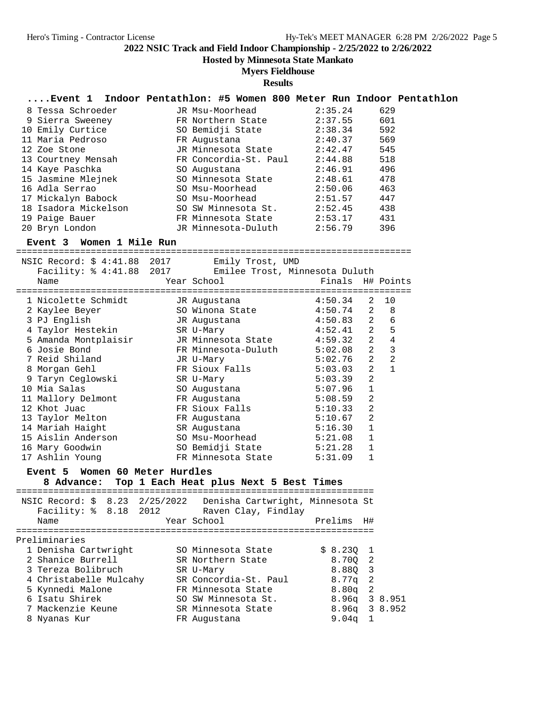**Hosted by Minnesota State Mankato**

### **Myers Fieldhouse**

| Event 1                                                                                                                                                                                                                                          | Indoor Pentathlon: #5 Women 800 Meter Run Indoor Pentathlon |                                        |  |                    |         |                  |                |  |
|--------------------------------------------------------------------------------------------------------------------------------------------------------------------------------------------------------------------------------------------------|-------------------------------------------------------------|----------------------------------------|--|--------------------|---------|------------------|----------------|--|
| 8 Tessa Schroeder                                                                                                                                                                                                                                |                                                             | JR Msu-Moorhead                        |  |                    | 2:35.24 |                  | 629            |  |
| 9 Sierra Sweeney                                                                                                                                                                                                                                 |                                                             | FR Northern State 2:37.55              |  |                    |         |                  | 601            |  |
| 10 Emily Curtice                                                                                                                                                                                                                                 |                                                             | SO Bemidji State $2:38.34$             |  |                    |         |                  | 592            |  |
| 11 Maria Pedroso                                                                                                                                                                                                                                 |                                                             | FR Augustana                           |  |                    | 2:40.37 |                  | 569            |  |
| 12 Zoe Stone                                                                                                                                                                                                                                     |                                                             | JR Minnesota State 2:42.47             |  |                    |         |                  | 545            |  |
| 13 Courtney Mensah FR Concordia-St. Paul 2:44.88                                                                                                                                                                                                 |                                                             |                                        |  |                    |         |                  | 518            |  |
| 14 Kaye Paschka                                                                                                                                                                                                                                  |                                                             | SO Augustana<br>SO Minnesota State     |  | 2:46.91<br>2:48.61 |         |                  | 496            |  |
| 15 Jasmine Mlejnek                                                                                                                                                                                                                               |                                                             |                                        |  |                    |         |                  | 478            |  |
| 16 Adla Serrao                                                                                                                                                                                                                                   |                                                             | SO Msu-Moorhead                        |  | 2:50.06            |         |                  | 463            |  |
| 17 Mickalyn Babock                                                                                                                                                                                                                               |                                                             | SO Msu-Moorhead<br>SO SW Minnesota St. |  | 2:51.57<br>2:52.45 |         |                  | 447            |  |
|                                                                                                                                                                                                                                                  |                                                             |                                        |  |                    |         |                  | 438            |  |
|                                                                                                                                                                                                                                                  |                                                             |                                        |  |                    |         |                  | 431            |  |
| 20 Bryn London                                                                                                                                                                                                                                   |                                                             | JR Minnesota-Duluth 2:56.79            |  |                    |         |                  | 396            |  |
| Event 3 Women 1 Mile Run                                                                                                                                                                                                                         |                                                             |                                        |  |                    |         |                  |                |  |
|                                                                                                                                                                                                                                                  |                                                             |                                        |  |                    |         |                  |                |  |
|                                                                                                                                                                                                                                                  |                                                             |                                        |  |                    |         |                  |                |  |
| NSIC Record: \$ 4:41.88 2017 Emily Trost, UMD<br>Facility: \$ 4:41.88 2017 Emilee Trost, Minnesota Duluth                                                                                                                                        |                                                             |                                        |  |                    |         |                  |                |  |
| Name                                                                                                                                                                                                                                             |                                                             | Year School                            |  |                    |         | Finals H# Points |                |  |
|                                                                                                                                                                                                                                                  |                                                             |                                        |  |                    |         |                  |                |  |
| 1 Nicolette Schmidt 1 JR Augustana 1:50.34<br>2 Kaylee Beyer 50 Winona State 4:50.74<br>3 PJ English 1 JR Augustana 1:50.83                                                                                                                      |                                                             |                                        |  |                    |         | 2                | 10             |  |
|                                                                                                                                                                                                                                                  |                                                             |                                        |  |                    |         | $\overline{2}$   | 8              |  |
|                                                                                                                                                                                                                                                  |                                                             |                                        |  |                    |         | $\overline{2}$   | 6              |  |
|                                                                                                                                                                                                                                                  |                                                             |                                        |  |                    |         |                  | 5              |  |
|                                                                                                                                                                                                                                                  |                                                             |                                        |  |                    |         |                  | $\overline{4}$ |  |
|                                                                                                                                                                                                                                                  |                                                             |                                        |  |                    |         |                  | 3              |  |
|                                                                                                                                                                                                                                                  |                                                             |                                        |  |                    |         |                  | $\overline{2}$ |  |
| 9 Fo English SR U-Mary<br>5 Amanda Montplaisir SR U-Mary<br>6 Josie Bond<br>7 Reid Shiland JR Minnesota State<br>8 Morgan Gehl<br>9 Taryn Ceglowski SR U-Mary<br>8 Morgan Gehl<br>8 Morgan Gehl<br>8 Taryn Ceglowski SR U-Mary<br>8 SO Augustana |                                                             |                                        |  |                    |         |                  | $\mathbf{1}$   |  |
|                                                                                                                                                                                                                                                  |                                                             |                                        |  |                    |         |                  |                |  |
| 10 Mia Salas                                                                                                                                                                                                                                     |                                                             |                                        |  |                    |         |                  |                |  |
|                                                                                                                                                                                                                                                  |                                                             |                                        |  |                    |         | 2                |                |  |
|                                                                                                                                                                                                                                                  |                                                             |                                        |  |                    |         | $\overline{2}$   |                |  |
|                                                                                                                                                                                                                                                  |                                                             |                                        |  |                    |         | 2                |                |  |
| 14 Mariah Haight                                                                                                                                                                                                                                 |                                                             | SR Augustana                           |  | 5:16.30            |         | 1                |                |  |
| 15 Aislin Anderson                                                                                                                                                                                                                               |                                                             | SO Msu-Moorhead<br>SO Bemidji State    |  | 5:21.08<br>5:21.28 |         | 1                |                |  |
| 16 Mary Goodwin                                                                                                                                                                                                                                  |                                                             |                                        |  |                    |         | $\mathbf{1}$     |                |  |
| 17 Ashlin Young                                                                                                                                                                                                                                  |                                                             | FR Minnesota State 5:31.09             |  |                    |         | $\mathbf{1}$     |                |  |
| Event 5 Women 60 Meter Hurdles                                                                                                                                                                                                                   |                                                             |                                        |  |                    |         |                  |                |  |
| 8 Advance:                                                                                                                                                                                                                                       | Top 1 Each Heat plus Next 5 Best Times                      |                                        |  |                    |         |                  |                |  |
|                                                                                                                                                                                                                                                  |                                                             |                                        |  |                    |         |                  |                |  |
| NSIC Record: \$ 8.23 2/25/2022 Denisha Cartwright, Minnesota St                                                                                                                                                                                  |                                                             |                                        |  |                    |         |                  |                |  |
| Facility: % 8.18 2012                                                                                                                                                                                                                            |                                                             | Raven Clay, Findlay                    |  |                    |         |                  |                |  |
|                                                                                                                                                                                                                                                  |                                                             |                                        |  |                    |         |                  |                |  |

| Name                   | Year School           | Prelims H#        |  |
|------------------------|-----------------------|-------------------|--|
| Preliminaries          |                       |                   |  |
| 1 Denisha Cartwright   | SO Minnesota State    | \$8.2301          |  |
| 2 Shanice Burrell      | SR Northern State     | 8.700 2           |  |
| 3 Tereza Bolibruch     | SR U-Mary             | 8.880 3           |  |
| 4 Christabelle Mulcahy | SR Concordia-St. Paul | $8.77q$ 2         |  |
| 5 Kynnedi Malone       | FR Minnesota State    | $8.80q$ 2         |  |
| 6 Isatu Shirek         | SO SW Minnesota St.   | $8.96q$ 3 $8.951$ |  |
| 7 Mackenzie Keune      | SR Minnesota State    | 8.96q 3 8.952     |  |
| 8 Nyanas Kur           | FR Augustana          | 9.04 <sub>q</sub> |  |
|                        |                       |                   |  |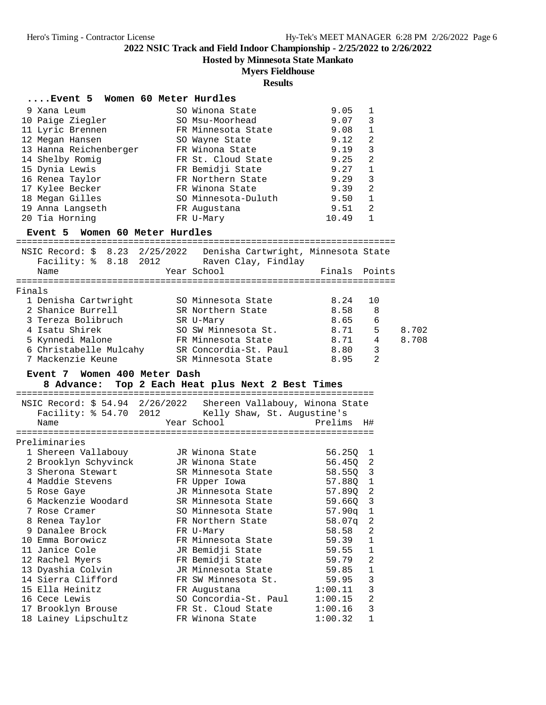## **Hosted by Minnesota State Mankato**

### **Myers Fieldhouse**

### **Results**

### **....Event 5 Women 60 Meter Hurdles**

| 9 Xana Leum            | SO Winona State     | 9.05  |              |
|------------------------|---------------------|-------|--------------|
| 10 Paige Ziegler       | SO Msu-Moorhead     | 9.07  | 3            |
| 11 Lyric Brennen       | FR Minnesota State  | 9.08  | $\mathbf{1}$ |
| 12 Megan Hansen        | SO Wayne State      | 9.12  | 2            |
| 13 Hanna Reichenberger | FR Winona State     | 9.19  | 3            |
| 14 Shelby Romig        | FR St. Cloud State  | 9.25  | 2            |
| 15 Dynia Lewis         | FR Bemidji State    | 9.27  |              |
| 16 Renea Taylor        | FR Northern State   | 9.29  | 3            |
| 17 Kylee Becker        | FR Winona State     | 9.39  | 2            |
| 18 Megan Gilles        | SO Minnesota-Duluth | 9.50  |              |
| 19 Anna Langseth       | FR Augustana        | 9.51  | 2            |
| 20 Tia Horning         | FR U-Mary           | 10.49 |              |

### **Event 5 Women 60 Meter Hurdles**

|        | Facility: % 8.18 2012  | NSIC Record: $\frac{1}{5}$ 8.23 2/25/2022 Denisha Cartwright, Minnesota State<br>Raven Clay, Findlay |               |                |       |
|--------|------------------------|------------------------------------------------------------------------------------------------------|---------------|----------------|-------|
|        | Name                   | Year School                                                                                          | Finals Points |                |       |
|        |                        |                                                                                                      |               |                |       |
| Finals |                        |                                                                                                      |               |                |       |
|        | 1 Denisha Cartwright   | SO Minnesota State                                                                                   | 8.24          | 10             |       |
|        | 2 Shanice Burrell      | SR Northern State                                                                                    | 8.58          | 8              |       |
|        | 3 Tereza Bolibruch     | SR U-Mary                                                                                            | 8.65          | 6              |       |
|        | 4 Isatu Shirek         | SO SW Minnesota St.                                                                                  | 8.71          | 5              | 8.702 |
|        | 5 Kynnedi Malone       | FR Minnesota State                                                                                   | 8.71          | 4              | 8.708 |
|        | 6 Christabelle Mulcahy | SR Concordia-St. Paul                                                                                | 8.80          | 3              |       |
|        | 7 Mackenzie Keune      | SR Minnesota State                                                                                   | 8.95          | $\mathfrak{D}$ |       |
|        |                        |                                                                                                      |               |                |       |

### **Event 7 Women 400 Meter Dash**

### **8 Advance: Top 2 Each Heat plus Next 2 Best Times**

|                      |  |  | NSIC Record: \$ 54.94 2/26/2022 Shereen Vallabouy, Winona State |                           |  |  |  |  |
|----------------------|--|--|-----------------------------------------------------------------|---------------------------|--|--|--|--|
|                      |  |  | Facility: \$54.70 2012 Kelly Shaw, St. Augustine's              |                           |  |  |  |  |
| Name                 |  |  | Year School                                                     | Prelims<br>H#             |  |  |  |  |
|                      |  |  |                                                                 |                           |  |  |  |  |
| Preliminaries        |  |  |                                                                 |                           |  |  |  |  |
| 1 Shereen Vallabouy  |  |  | JR Winona State                                                 | 56.250<br>1               |  |  |  |  |
| 2 Brooklyn Schyvinck |  |  | JR Winona State                                                 | 56.45Q 2                  |  |  |  |  |
| 3 Sherona Stewart    |  |  | SR Minnesota State                                              | 3<br>58.55Q               |  |  |  |  |
| 4 Maddie Stevens     |  |  | FR Upper Iowa                                                   | 57.88Q 1                  |  |  |  |  |
| 5 Rose Gaye          |  |  | JR Minnesota State                                              | $\overline{2}$<br>57.89Q  |  |  |  |  |
| 6 Mackenzie Woodard  |  |  | SR Minnesota State                                              | $\overline{3}$<br>59.66Q  |  |  |  |  |
| 7 Rose Cramer        |  |  | SO Minnesota State                                              | 57.90q 1                  |  |  |  |  |
| 8 Renea Taylor       |  |  | FR Northern State                                               | $\overline{2}$<br>58.07q  |  |  |  |  |
| 9 Danalee Brock      |  |  | FR U-Mary                                                       | $\overline{2}$<br>58.58   |  |  |  |  |
| 10 Emma Borowicz     |  |  | FR Minnesota State                                              | $\mathbf{1}$<br>59.39     |  |  |  |  |
| 11 Janice Cole       |  |  | JR Bemidji State                                                | $\mathbf{1}$<br>59.55     |  |  |  |  |
| 12 Rachel Myers      |  |  | FR Bemidji State                                                | $\overline{2}$<br>59.79   |  |  |  |  |
| 13 Dyashia Colvin    |  |  | JR Minnesota State                                              | $\mathbf{1}$<br>59.85     |  |  |  |  |
| 14 Sierra Clifford   |  |  | FR SW Minnesota St.                                             | 3<br>59.95                |  |  |  |  |
| 15 Ella Heinitz      |  |  | FR Augustana                                                    | 3<br>1:00.11              |  |  |  |  |
| 16 Cece Lewis        |  |  | SO Concordia-St. Paul                                           | $\overline{2}$<br>1:00.15 |  |  |  |  |
| 17 Brooklyn Brouse   |  |  | FR St. Cloud State                                              | 3<br>1:00.16              |  |  |  |  |
| 18 Lainey Lipschultz |  |  | FR Winona State                                                 | $\mathbf{1}$<br>1:00.32   |  |  |  |  |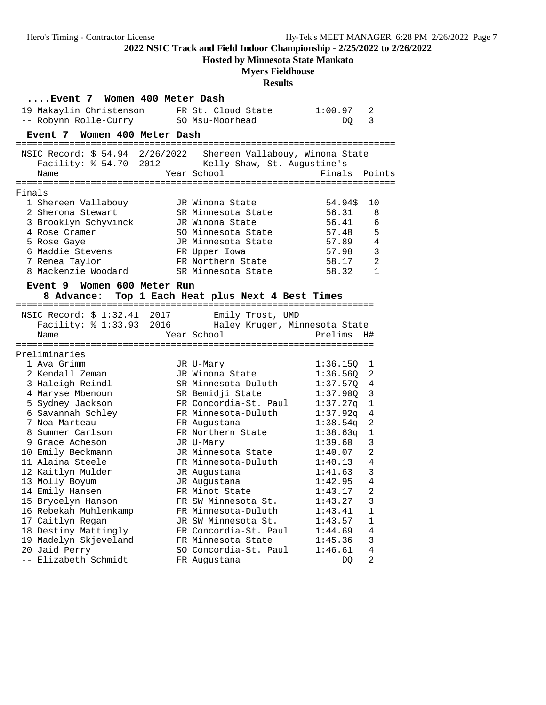**Hosted by Minnesota State Mankato**

# **Myers Fieldhouse**

|        | Event 7 Women 400 Meter Dash |                                                                 |               |                |
|--------|------------------------------|-----------------------------------------------------------------|---------------|----------------|
|        | 19 Makaylin Christenson      | FR St. Cloud State                                              | 1:00.97       | 2              |
|        | -- Robynn Rolle-Curry        | SO Msu-Moorhead                                                 | DQ.           | 3              |
|        | Event 7 Women 400 Meter Dash |                                                                 |               |                |
|        |                              |                                                                 |               |                |
|        |                              | NSIC Record: \$ 54.94 2/26/2022 Shereen Vallabouy, Winona State |               |                |
|        |                              | Facility: % 54.70 2012 Kelly Shaw, St. Augustine's              |               |                |
|        | Name                         | Year School                                                     | Finals Points |                |
|        |                              |                                                                 |               |                |
| Finals |                              |                                                                 |               |                |
|        | 1 Shereen Vallabouy          | JR Winona State                                                 | 54.94\$       | 10             |
|        | 2 Sherona Stewart            | SR Minnesota State                                              | 56.31         | 8              |
|        | 3 Brooklyn Schyvinck         | JR Winona State                                                 | 56.41         | 6              |
|        | 4 Rose Cramer                | SO Minnesota State                                              | 57.48         | 5              |
|        | 5 Rose Gaye                  | JR Minnesota State                                              | 57.89         | 4              |
|        | 6 Maddie Stevens             | FR Upper Iowa                                                   | 57.98         | $\mathbf{3}$   |
|        | 7 Renea Taylor               | FR Northern State                                               | 58.17         | 2              |
|        | 8 Mackenzie Woodard          | SR Minnesota State                                              | 58.32         | 1              |
|        |                              |                                                                 |               |                |
|        | Event 9 Women 600 Meter Run  |                                                                 |               |                |
|        |                              | 8 Advance: Top 1 Each Heat plus Next 4 Best Times               |               |                |
|        | NSIC Record: \$ 1:32.41 2017 | Emily Trost, UMD                                                |               |                |
|        |                              | Facility: % 1:33.93 2016 Haley Kruger, Minnesota State          |               |                |
|        | Name                         | Year School                                                     | Prelims       | H#             |
|        |                              |                                                                 |               |                |
|        | Preliminaries                |                                                                 |               |                |
|        | 1 Ava Grimm                  | JR U-Mary                                                       | 1:36.15Q      | ı              |
|        | 2 Kendall Zeman              | JR Winona State                                                 | 1:36.560      | 2              |
|        | 3 Haleigh Reindl             | SR Minnesota-Duluth                                             | 1:37.57Q      | 4              |
|        | 4 Maryse Mbenoun             | SR Bemidji State                                                | 1:37.900      | 3              |
|        | 5 Sydney Jackson             | FR Concordia-St. Paul                                           | 1:37.27q      | $\mathbf 1$    |
|        | 6 Savannah Schley            | FR Minnesota-Duluth                                             | 1:37.92q      | 4              |
|        | 7 Noa Marteau                | FR Augustana                                                    | $1:38.54$ q   | 2              |
|        | 8 Summer Carlson             | FR Northern State                                               | 1:38.63q      | 1              |
|        | 9 Grace Acheson              | JR U-Mary                                                       | 1:39.60       | 3              |
|        | 10 Emily Beckmann            | JR Minnesota State                                              | 1:40.07       | 2              |
|        | 11 Alaina Steele             | FR Minnesota-Duluth                                             | 1:40.13       | $\overline{4}$ |
|        | 12 Kaitlyn Mulder            | JR Augustana                                                    | 1:41.63       | 3              |
|        | 13 Molly Boyum               |                                                                 | 1:42.95       | $\overline{4}$ |
|        |                              | JR Augustana                                                    |               | $\sqrt{2}$     |
|        | 14 Emily Hansen              | FR Minot State                                                  | 1:43.17       |                |
|        | 15 Brycelyn Hanson           | FR SW Minnesota St.                                             | 1:43.27       | 3              |
|        | 16 Rebekah Muhlenkamp        | FR Minnesota-Duluth                                             | 1:43.41       | $\mathbf 1$    |
|        | 17 Caitlyn Regan             | JR SW Minnesota St.                                             | 1:43.57       | $\mathbf 1$    |
|        | 18 Destiny Mattingly         | FR Concordia-St. Paul                                           | 1:44.69       | 4              |
|        | 19 Madelyn Skjeveland        | FR Minnesota State                                              | 1:45.36       | 3              |
|        | 20 Jaid Perry                | SO Concordia-St. Paul                                           | 1:46.61       | 4              |
|        | -- Elizabeth Schmidt         | FR Augustana                                                    | DQ            | $\sqrt{2}$     |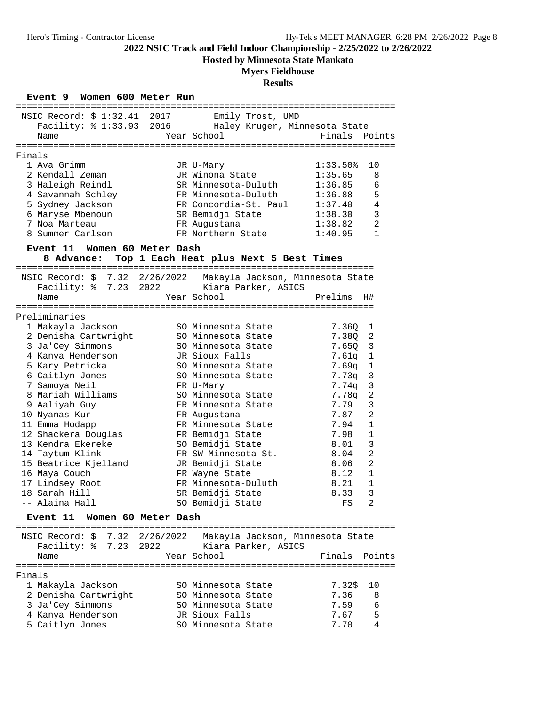**Hosted by Minnesota State Mankato**

# **Myers Fieldhouse**

# **Results**

### **Event 9 Women 600 Meter Run**

|        | NSIC Record: \$1:32.41 2017 Emily Trost, UMD                    |      |                                                         |               |                |
|--------|-----------------------------------------------------------------|------|---------------------------------------------------------|---------------|----------------|
|        | Facility: % 1:33.93 2016 Haley Kruger, Minnesota State          |      |                                                         |               |                |
|        | Name                                                            |      | Year School                                             | Finals Points |                |
|        |                                                                 |      |                                                         |               |                |
| Finals |                                                                 |      |                                                         |               |                |
|        | 1 Ava Grimm                                                     |      | JR U-Mary                                               | 1:33.50       | 10             |
|        | 2 Kendall Zeman                                                 |      | JR Winona State                                         | 1:35.65       | 8              |
|        | 3 Haleigh Reindl                                                |      | SR Minnesota-Duluth                                     | 1:36.85       | 6              |
|        | 4 Savannah Schley                                               |      | FR Minnesota-Duluth                                     | 1:36.88       | 5              |
|        | 5 Sydney Jackson                                                |      | FR Concordia-St. Paul                                   | 1:37.40       | $\sqrt{4}$     |
|        | 6 Maryse Mbenoun                                                |      | SR Bemidji State                                        | 1:38.30       | $\mathbf{3}$   |
|        | 7 Noa Marteau                                                   |      | FR Augustana                                            | 1:38.82       | $\overline{a}$ |
|        | 8 Summer Carlson                                                |      | FR Northern State                                       | 1:40.95       | $\mathbf{1}$   |
|        | Event 11 Women 60 Meter Dash                                    |      |                                                         |               |                |
|        |                                                                 |      | 8 Advance: Top 1 Each Heat plus Next 5 Best Times       |               |                |
|        |                                                                 |      |                                                         |               |                |
|        | NSIC Record: \$ 7.32 2/26/2022 Makayla Jackson, Minnesota State |      |                                                         |               |                |
|        | Facility: % 7.23 2022 Kiara Parker, ASICS                       |      |                                                         |               |                |
|        | Name                                                            |      | Year School                                             | Prelims       | H#             |
|        |                                                                 |      |                                                         |               |                |
|        | Preliminaries                                                   |      |                                                         |               |                |
|        | 1 Makayla Jackson                                               |      | SO Minnesota State                                      | 7.360         | 1              |
|        | 2 Denisha Cartwright                                            |      | SO Minnesota State                                      | 7.380         | 2              |
|        | 3 Ja'Cey Simmons                                                |      | SO Minnesota State                                      | 7.650         | 3              |
|        | 4 Kanya Henderson                                               |      | JR Sioux Falls                                          | 7.61q         | $\mathbf 1$    |
|        | 5 Kary Petricka                                                 |      | SO Minnesota State                                      | 7.69q         | $\mathbf 1$    |
|        | 6 Caitlyn Jones                                                 |      | SO Minnesota State                                      | 7.73q         | $\mathsf 3$    |
|        | 7 Samoya Neil                                                   |      | FR U-Mary                                               | 7.74q         | $\mathbf{3}$   |
|        | 8 Mariah Williams                                               |      | SO Minnesota State                                      | 7.78q         | $\overline{a}$ |
|        | 9 Aaliyah Guy                                                   |      | FR Minnesota State                                      | 7.79          | 3              |
|        | 10 Nyanas Kur                                                   |      | FR Augustana                                            | 7.87          | $\overline{a}$ |
|        | 11 Emma Hodapp                                                  |      | FR Minnesota State                                      | 7.94          | $\mathbf 1$    |
|        | 12 Shackera Douglas                                             |      | FR Bemidji State                                        | 7.98          | $\mathbf{1}$   |
|        | 13 Kendra Ekereke                                               |      | SO Bemidji State                                        | 8.01          | 3              |
|        | 14 Taytum Klink                                                 |      | FR SW Minnesota St.                                     | 8.04          | $\overline{a}$ |
|        | 15 Beatrice Kjelland                                            |      | JR Bemidji State                                        | 8.06          | $\overline{2}$ |
|        | 16 Maya Couch                                                   |      | FR Wayne State                                          | 8.12          | 1              |
|        | 17 Lindsey Root                                                 |      | FR Minnesota-Duluth                                     | 8.21          | $\mathbf{1}$   |
|        | 18 Sarah Hill                                                   |      | SR Bemidji State                                        | 8.33          | 3              |
|        | -- Alaina Hall                                                  |      | SO Bemidji State                                        | FS            | $\overline{a}$ |
|        | <b>Event 11</b><br>Women 60 Meter Dash                          |      |                                                         |               |                |
|        | NSIC Record: \$ 7.32 2/26/2022                                  |      |                                                         |               |                |
|        | Facility: % 7.23                                                | 2022 | Makayla Jackson, Minnesota State<br>Kiara Parker, ASICS |               |                |
|        |                                                                 |      | Year School                                             | Finals        | Points         |
|        | Name                                                            |      |                                                         |               |                |
| Finals |                                                                 |      |                                                         |               |                |
|        | 1 Makayla Jackson                                               |      | SO Minnesota State                                      | 7.32\$        | 10             |
|        | 2 Denisha Cartwright                                            |      | SO Minnesota State                                      | 7.36          | 8              |
|        | 3 Ja'Cey Simmons                                                |      | SO Minnesota State                                      | 7.59          | 6              |
|        | 4 Kanya Henderson                                               |      | JR Sioux Falls                                          | 7.67          | 5              |
|        | 5 Caitlyn Jones                                                 |      | SO Minnesota State                                      | 7.70          | 4              |
|        |                                                                 |      |                                                         |               |                |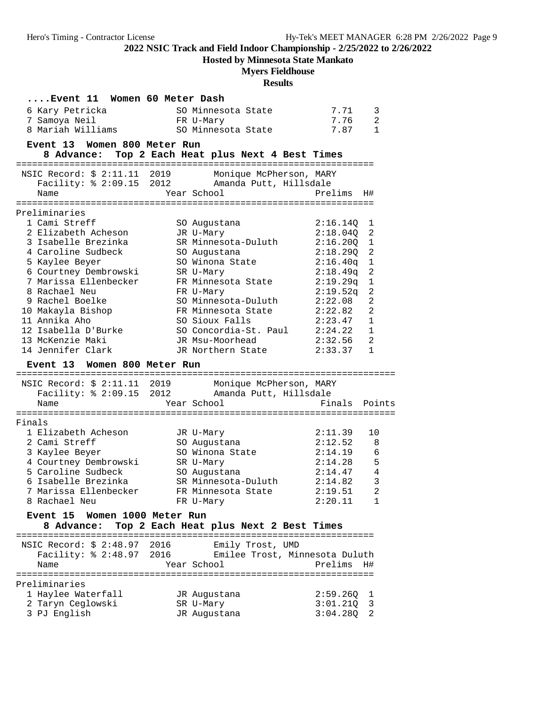**Hosted by Minnesota State Mankato**

# **Myers Fieldhouse**

|        | Event 11  Women 60 Meter Dash          |                                                   |                      |                                  |
|--------|----------------------------------------|---------------------------------------------------|----------------------|----------------------------------|
|        | 6 Kary Petricka                        | SO Minnesota State                                | 7.71                 | 3                                |
|        | 7 Samoya Neil                          | FR U-Mary                                         | 7.76                 | 2                                |
|        | 8 Mariah Williams                      | SO Minnesota State                                | 7.87                 | $\mathbf{1}$                     |
|        | Event 13 Women 800 Meter Run           |                                                   |                      |                                  |
|        | 8 Advance:                             | Top 2 Each Heat plus Next 4 Best Times            |                      |                                  |
|        |                                        |                                                   |                      |                                  |
|        | NSIC Record: \$ 2:11.11 2019           | Monique McPherson, MARY                           |                      |                                  |
|        | Facility: % 2:09.15 2012<br>Name       | Amanda Putt, Hillsdale                            | Prelims              |                                  |
|        |                                        | Year School                                       |                      | H#                               |
|        | Preliminaries                          |                                                   |                      |                                  |
|        | 1 Cami Streff                          | SO Augustana                                      | 2:16.14Q             | 1                                |
|        | 2 Elizabeth Acheson                    | JR U-Mary                                         | 2:18.040             | 2                                |
|        | 3 Isabelle Brezinka                    | SR Minnesota-Duluth                               | 2:16.20Q             | 1                                |
|        | 4 Caroline Sudbeck                     | SO Augustana                                      | 2:18.290             | 2                                |
|        | 5 Kaylee Beyer                         | SO Winona State                                   | 2:16.40q             | 1                                |
|        | 6 Courtney Dembrowski                  | SR U-Mary                                         | 2:18.49q             | $\overline{2}$                   |
|        | 7 Marissa Ellenbecker                  | FR Minnesota State                                | 2:19.29q             | $\mathbf 1$                      |
|        | 8 Rachael Neu                          | FR U-Mary                                         | 2:19.52q             | 2                                |
|        | 9 Rachel Boelke<br>10 Makayla Bishop   | SO Minnesota-Duluth<br>FR Minnesota State         | 2:22.08<br>2:22.82   | $\overline{2}$<br>$\overline{2}$ |
|        | 11 Annika Aho                          | SO Sioux Falls                                    | 2:23.47              | $\mathbf{1}$                     |
|        | 12 Isabella D'Burke                    | SO Concordia-St. Paul                             | 2:24.22              | $\mathbf{1}$                     |
|        | 13 McKenzie Maki                       | JR Msu-Moorhead                                   | 2:32.56              | 2                                |
|        | 14 Jennifer Clark                      | JR Northern State                                 | 2:33.37              | $\mathbf{1}$                     |
|        |                                        |                                                   |                      |                                  |
|        | Women 800 Meter Run<br><b>Event 13</b> |                                                   |                      |                                  |
|        |                                        |                                                   |                      |                                  |
|        | NSIC Record: \$ 2:11.11 2019           | Monique McPherson, MARY                           |                      |                                  |
|        | Facility: % 2:09.15 2012<br>Name       | Amanda Putt, Hillsdale<br>Year School             | Finals Points        |                                  |
|        |                                        |                                                   |                      |                                  |
| Finals |                                        |                                                   |                      |                                  |
|        | 1 Elizabeth Acheson                    | JR U-Mary                                         | 2:11.39              | 10                               |
|        | 2 Cami Streff                          | SO Augustana                                      | 2:12.52              | 8                                |
|        | 3 Kaylee Beyer                         | SO Winona State                                   | 2:14.19              | 6                                |
|        | 4 Courtney Dembrowski                  | SR U-Mary                                         | 2:14.28              | 5                                |
|        | 5 Caroline Sudbeck                     | SO Augustana                                      | 2:14.47              | 4                                |
|        | 6 Isabelle Brezinka                    | SR Minnesota-Duluth                               | 2:14.82              | 3                                |
|        | 7 Marissa Ellenbecker<br>8 Rachael Neu | FR Minnesota State                                | 2:19.51              | 2<br>1                           |
|        |                                        | FR U-Mary                                         | 2:20.11              |                                  |
|        | Event 15 Women 1000 Meter Run          |                                                   |                      |                                  |
|        |                                        | 8 Advance: Top 2 Each Heat plus Next 2 Best Times |                      |                                  |
|        | NSIC Record: \$ 2:48.97 2016           | Emily Trost, UMD                                  |                      |                                  |
|        | Facility: % 2:48.97 2016               | Emilee Trost, Minnesota Duluth                    |                      |                                  |
|        | Name                                   | Year School                                       | Prelims              | H#                               |
|        |                                        |                                                   |                      |                                  |
|        | Preliminaries                          |                                                   |                      |                                  |
|        | 1 Haylee Waterfall                     | JR Augustana                                      | 2:59.26Q             | ı                                |
|        | 2 Taryn Ceglowski<br>3 PJ English      | SR U-Mary<br>JR Augustana                         | 3:01.21Q<br>3:04.28Q | 3<br>2                           |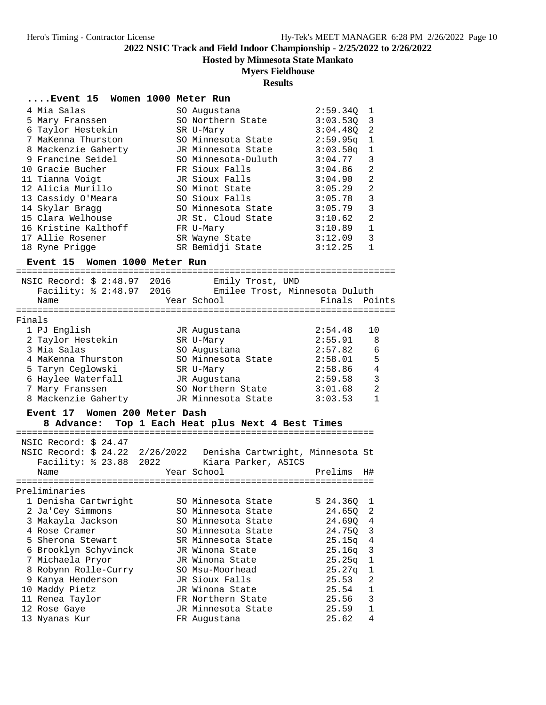**Hosted by Minnesota State Mankato**

# **Myers Fieldhouse**

| Event 15 Women 1000 Meter Run                                                                                                                                                                                                                                                                                 |                                                                                                                                                                                                                                                                                          |                                                                                                                                                                        |                                                                                                                                                                |
|---------------------------------------------------------------------------------------------------------------------------------------------------------------------------------------------------------------------------------------------------------------------------------------------------------------|------------------------------------------------------------------------------------------------------------------------------------------------------------------------------------------------------------------------------------------------------------------------------------------|------------------------------------------------------------------------------------------------------------------------------------------------------------------------|----------------------------------------------------------------------------------------------------------------------------------------------------------------|
| 4 Mia Salas<br>5 Mary Franssen<br>6 Taylor Hestekin<br>7 MaKenna Thurston<br>8 Mackenzie Gaherty<br>9 Francine Seidel<br>10 Gracie Bucher<br>11 Tianna Voigt<br>12 Alicia Murillo<br>13 Cassidy O'Meara<br>14 Skylar Bragg<br>15 Clara Welhouse<br>16 Kristine Kalthoff<br>17 Allie Rosener<br>18 Ryne Prigge | SO Augustana<br>SO Northern State<br>SR U-Mary<br>SO Minnesota State<br>JR Minnesota State<br>SO Minnesota-Duluth<br>FR Sioux Falls<br>JR Sioux Falls<br>SO Minot State<br>SO Sioux Falls<br>SO Minnesota State<br>JR St. Cloud State<br>FR U-Mary<br>SR Wayne State<br>SR Bemidji State | 2:59.34Q<br>3:03.53Q<br>3:04.480<br>2:59.95q<br>3:03.50q<br>3:04.77<br>3:04.86<br>3:04.90<br>3:05.29<br>3:05.78<br>3:05.79<br>3:10.62<br>3:10.89<br>3:12.09<br>3:12.25 | 1<br>3<br>$\overline{c}$<br>1<br>1<br>3<br>$\overline{2}$<br>$\overline{2}$<br>$\overline{a}$<br>3<br>3<br>$\overline{2}$<br>$\mathbf{1}$<br>3<br>$\mathbf{1}$ |
| Event 15 Women 1000 Meter Run                                                                                                                                                                                                                                                                                 |                                                                                                                                                                                                                                                                                          |                                                                                                                                                                        |                                                                                                                                                                |
| NSIC Record: \$ 2:48.97 2016 Emily Trost, UMD<br>Name                                                                                                                                                                                                                                                         | Facility: \$ 2:48.97 2016 Emilee Trost, Minnesota Duluth<br>Year School                                                                                                                                                                                                                  | Finals Points                                                                                                                                                          |                                                                                                                                                                |
| Finals                                                                                                                                                                                                                                                                                                        |                                                                                                                                                                                                                                                                                          |                                                                                                                                                                        |                                                                                                                                                                |
| 1 PJ English<br>2 Taylor Hestekin<br>3 Mia Salas<br>4 MaKenna Thurston<br>5 Taryn Ceglowski<br>6 Haylee Waterfall<br>7 Mary Franssen<br>8 Mackenzie Gaherty       JR Minnesota State                                                                                                                          | JR Augustana<br>SR U-Mary<br>SO Augustana<br>SO Minnesota State<br>SR U-Mary<br>JR Augustana<br>SO Northern State                                                                                                                                                                        | 2:54.48<br>2:55.91<br>2:57.82<br>2:58.01<br>2:58.86<br>2:59.58<br>3:01.68<br>3:03.53                                                                                   | 10<br>8<br>6<br>5<br>4<br>$\overline{3}$<br>$\overline{a}$<br>$\mathbf{1}$                                                                                     |
| Event 17 Women 200 Meter Dash                                                                                                                                                                                                                                                                                 | 8 Advance: Top 1 Each Heat plus Next 4 Best Times                                                                                                                                                                                                                                        |                                                                                                                                                                        |                                                                                                                                                                |
|                                                                                                                                                                                                                                                                                                               |                                                                                                                                                                                                                                                                                          |                                                                                                                                                                        |                                                                                                                                                                |
| NSIC Record: \$ 24.47<br>NSIC Record: \$ 24.22 2/26/2022  Denisha Cartwright, Minnesota St<br>Name                                                                                                                                                                                                            | Facility: \$ 23.88 2022 Kiara Parker, ASICS<br>Year School                                                                                                                                                                                                                               | Prelims                                                                                                                                                                | H#                                                                                                                                                             |
| Preliminaries                                                                                                                                                                                                                                                                                                 |                                                                                                                                                                                                                                                                                          |                                                                                                                                                                        |                                                                                                                                                                |
| 1 Denisha Cartwright<br>2 Ja'Cey Simmons<br>3 Makayla Jackson<br>4 Rose Cramer<br>5 Sherona Stewart<br>6 Brooklyn Schyvinck<br>7 Michaela Pryor                                                                                                                                                               | SO Minnesota State<br>SO Minnesota State<br>SO Minnesota State<br>SO Minnesota State<br>SR Minnesota State<br>JR Winona State<br>JR Winona State                                                                                                                                         | \$24.36Q<br>24.65Q<br>24.69Q<br>24.75Q<br>25.15q<br>25.16q<br>25.25q                                                                                                   | ı<br>2<br>4<br>3<br>4<br>3<br>$\mathbf 1$                                                                                                                      |
| 8 Robynn Rolle-Curry<br>9 Kanya Henderson<br>10 Maddy Pietz<br>11 Renea Taylor<br>12 Rose Gaye<br>13 Nyanas Kur                                                                                                                                                                                               | SO Msu-Moorhead<br>JR Sioux Falls<br>JR Winona State<br>FR Northern State<br>JR Minnesota State<br>FR Augustana                                                                                                                                                                          | 25.27q<br>25.53<br>25.54<br>25.56<br>25.59<br>25.62                                                                                                                    | $\mathbf 1$<br>$\overline{c}$<br>1<br>3<br>$\mathbf 1$<br>4                                                                                                    |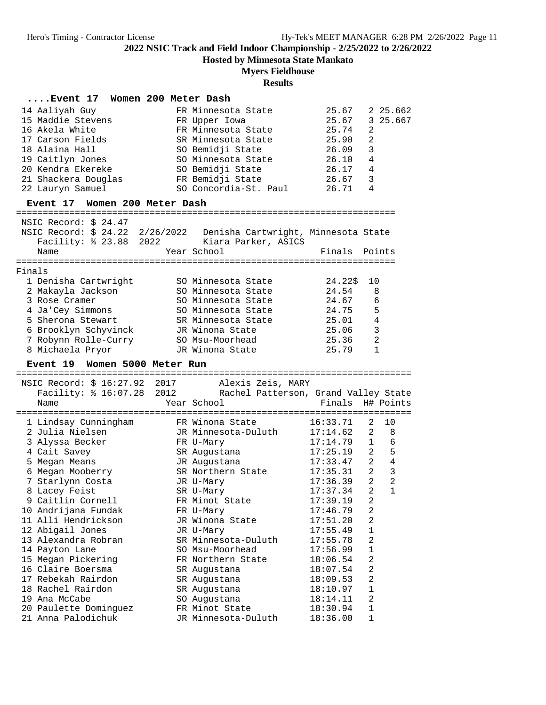**Hosted by Minnesota State Mankato**

# **Myers Fieldhouse**

|        | Event 17 Women 200 Meter Dash |                                                                      |                  |                |                         |
|--------|-------------------------------|----------------------------------------------------------------------|------------------|----------------|-------------------------|
|        | 14 Aaliyah Guy                | FR Minnesota State                                                   | 25.67            |                | 2 25.662                |
|        | 15 Maddie Stevens             | FR Upper Iowa                                                        | 25.67            |                | 3 25.667                |
|        | 16 Akela White                | FR Minnesota State                                                   | 25.74            | 2              |                         |
|        | 17 Carson Fields              | SR Minnesota State                                                   | 25.90            | 2              |                         |
|        | 18 Alaina Hall                | SO Bemidji State                                                     | 26.09            | 3              |                         |
|        | 19 Caitlyn Jones              | SO Minnesota State                                                   | 26.10            | 4              |                         |
|        | 20 Kendra Ekereke             | SO Bemidji State                                                     | 26.17            | 4              |                         |
|        | 21 Shackera Douglas           | FR Bemidji State                                                     | 26.67            | 3              |                         |
|        | 22 Lauryn Samuel              | SO Concordia-St. Paul                                                | 26.71            | 4              |                         |
|        | Event 17 Women 200 Meter Dash |                                                                      |                  |                |                         |
|        |                               |                                                                      |                  |                |                         |
|        | NSIC Record: \$ 24.47         |                                                                      |                  |                |                         |
|        |                               | NSIC Record: \$ 24.22 2/26/2022  Denisha Cartwright, Minnesota State |                  |                |                         |
|        |                               | Facility: \$ 23.88 2022 Kiara Parker, ASICS                          |                  |                |                         |
|        | Name                          | Year School                                                          | Finals           | Points         |                         |
|        |                               |                                                                      |                  |                |                         |
| Finals |                               |                                                                      |                  |                |                         |
|        | 1 Denisha Cartwright          | SO Minnesota State                                                   | 24.22\$          | 10             |                         |
|        | 2 Makayla Jackson             | SO Minnesota State                                                   | 24.54            | 8              |                         |
|        | 3 Rose Cramer                 | SO Minnesota State                                                   | 24.67            | 6              |                         |
|        | 4 Ja'Cey Simmons              | SO Minnesota State                                                   | 24.75            | 5              |                         |
|        | 5 Sherona Stewart             | SR Minnesota State                                                   | 25.01            | 4              |                         |
|        | 6 Brooklyn Schyvinck          | JR Winona State                                                      | 25.06            | 3              |                         |
|        | 7 Robynn Rolle-Curry          | SO Msu-Moorhead                                                      | 25.36            | 2              |                         |
|        | 8 Michaela Pryor              | JR Winona State                                                      | 25.79            | $\mathbf{1}$   |                         |
|        |                               |                                                                      |                  |                |                         |
|        | Event 19 Women 5000 Meter Run |                                                                      |                  |                |                         |
|        |                               |                                                                      |                  |                |                         |
|        | NSIC Record: \$ 16:27.92 2017 | Alexis Zeis, MARY                                                    |                  |                |                         |
|        |                               | Facility: % 16:07.28 2012 Rachel Patterson, Grand Valley State       |                  |                |                         |
|        | Name                          | Year School                                                          | Finals H# Points |                |                         |
|        |                               |                                                                      |                  |                |                         |
|        | 1 Lindsay Cunningham          | FR Winona State                                                      | 16:33.71         | 2              | 10                      |
|        | 2 Julia Nielsen               | JR Minnesota-Duluth                                                  | 17:14.62         | 2              | 8                       |
|        | 3 Alyssa Becker               | FR U-Mary                                                            | 17:14.79         | $\mathbf{1}$   | 6                       |
|        | 4 Cait Savey                  | SR Augustana                                                         | 17:25.19         | 2              | 5                       |
|        | 5 Megan Means                 | JR Augustana                                                         | 17:33.47         | 2              | $\overline{4}$          |
|        | 6 Megan Mooberry              | SR Northern State                                                    | 17:35.31         | 2              | $\overline{\mathbf{3}}$ |
|        | 7 Starlynn Costa              | JR U-Mary                                                            | 17:36.39         | 2              | $\overline{a}$          |
|        | 8 Lacey Feist                 | SR U-Mary                                                            | 17:37.34         | $\overline{a}$ | $\mathbf{1}$            |
|        | 9 Caitlin Cornell             | FR Minot State                                                       | 17:39.19         | 2              |                         |
|        | 10 Andrijana Fundak           | FR U-Mary                                                            | 17:46.79         | 2              |                         |
|        | 11 Alli Hendrickson           | JR Winona State                                                      | 17:51.20         | 2              |                         |
|        | 12 Abigail Jones              | JR U-Mary                                                            | 17:55.49         | $\mathbf 1$    |                         |
|        | 13 Alexandra Robran           | SR Minnesota-Duluth                                                  | 17:55.78         | 2              |                         |
|        | 14 Payton Lane                | SO Msu-Moorhead                                                      | 17:56.99         | $\mathbf 1$    |                         |
|        | 15 Megan Pickering            | FR Northern State                                                    | 18:06.54         | 2              |                         |
|        | 16 Claire Boersma             | SR Augustana                                                         | 18:07.54         | 2              |                         |
|        | 17 Rebekah Rairdon            | SR Augustana                                                         | 18:09.53         | 2              |                         |
|        | 18 Rachel Rairdon             | SR Augustana                                                         | 18:10.97         | $\mathbf 1$    |                         |
|        | 19 Ana McCabe                 | SO Augustana                                                         | 18:14.11         | 2              |                         |
|        | 20 Paulette Dominguez         | FR Minot State                                                       | 18:30.94         | 1              |                         |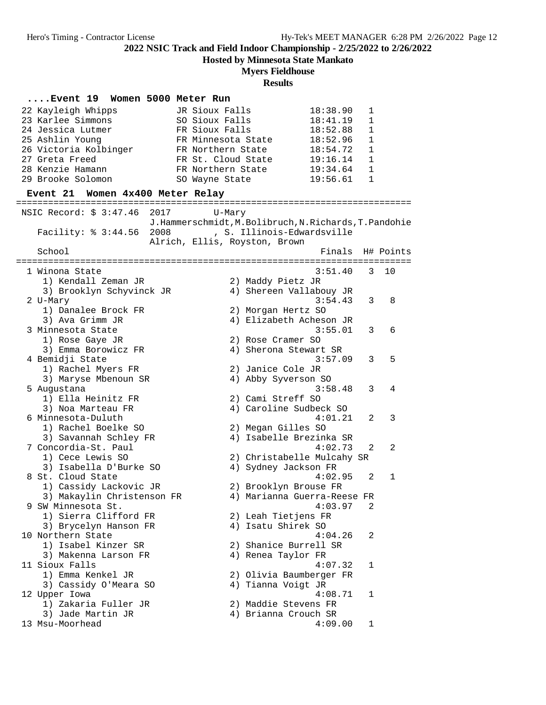**Hosted by Minnesota State Mankato**

### **Myers Fieldhouse**

### **Results**

**....Event 19 Women 5000 Meter Run** 22 Kayleigh Whipps JR Sioux Falls 18:38.90 1 23 Karlee Simmons SO Sioux Falls 18:41.19 1 24 Jessica Lutmer FR Sioux Falls 18:52.88 1 25 Ashlin Young FR Minnesota State 18:52.96 1 26 Victoria Kolbinger FR Northern State 18:54.72 1 27 Greta Freed FR St. Cloud State 19:16.14 1 28 Kenzie Hamann FR Northern State 19:34.64 1 29 Brooke Solomon SO Wayne State 19:56.61 1 **Event 21 Women 4x400 Meter Relay** ========================================================================== NSIC Record: \$ 3:47.46 2017 U-Mary J.Hammerschmidt,M.Bolibruch,N.Richards,T.Pandohie Facility: % 3:44.56 2008 , S. Illinois-Edwardsville Alrich, Ellis, Royston, Brown School **Finals** H# Points ========================================================================== 1 Winona State 3:51.40 3 10 1) Kendall Zeman JR 2) Maddy Pietz JR 3) Brooklyn Schyvinck JR 4) Shereen Vallabouy JR 2 U-Mary 3:54.43 3 8 1) Danalee Brock FR 2) Morgan Hertz SO 3) Ava Grimm JR 4) Elizabeth Acheson JR 3 Minnesota State 3:55.01 3 6 1) Rose Gaye JR 2) Rose Cramer SO 3) Emma Borowicz FR 4) Sherona Stewart SR 4 Bemidji State 3:57.09 3 5 1) Rachel Myers FR 2) Janice Cole JR 3) Maryse Mbenoun SR 4) Abby Syverson SO 5 Augustana 3:58.48 3 4 1) Ella Heinitz FR 2) Cami Streff SO 3) Noa Marteau FR 4) Caroline Sudbeck SO 6 Minnesota-Duluth 4:01.21 2 3 1) Rachel Boelke SO 2) Megan Gilles SO 3) Savannah Schley FR 4) Isabelle Brezinka SR 7 Concordia-St. Paul 4:02.73 2 2 1) Cece Lewis SO 2) Christabelle Mulcahy SR 3) Isabella D'Burke SO 4) Sydney Jackson FR 8 St. Cloud State 4:02.95 2 1 1) Cassidy Lackovic JR 2) Brooklyn Brouse FR 3) Makaylin Christenson FR 4) Marianna Guerra-Reese FR 9 SW Minnesota St. 4:03.97 2 1) Sierra Clifford FR 2) Leah Tietjens FR 3) Brycelyn Hanson FR 4) Isatu Shirek SO 10 Northern State 4:04.26 2 1) Isabel Kinzer SR 2) Shanice Burrell SR 3) Makenna Larson FR 4) Renea Taylor FR 11 Sioux Falls 4:07.32 1 1) Emma Kenkel JR 2) Olivia Baumberger FR 3) Cassidy O'Meara SO 4) Tianna Voigt JR 12 Upper Iowa 4:08.71 1 1) Zakaria Fuller JR 2) Maddie Stevens FR 3) Jade Martin JR 1988 (2011) 4 Brianna Crouch SR 13 Msu-Moorhead 4:09.00 1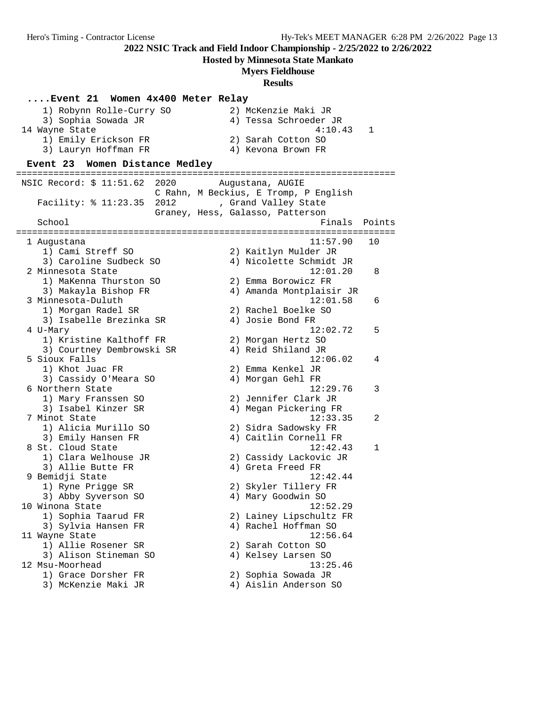**....Event 21 Women 4x400 Meter Relay**

**2022 NSIC Track and Field Indoor Championship - 2/25/2022 to 2/26/2022**

**Hosted by Minnesota State Mankato**

### **Myers Fieldhouse**

**Results**

 1) Robynn Rolle-Curry SO 2) McKenzie Maki JR 3) Sophia Sowada JR 4) Tessa Schroeder JR 14 Wayne State 4:10.43 1 1) Emily Erickson FR 2) Sarah Cotton SO 3) Lauryn Hoffman FR 4) Kevona Brown FR **Event 23 Women Distance Medley** ======================================================================= NSIC Record: \$ 11:51.62 2020 Augustana, AUGIE C Rahn, M Beckius, E Tromp, P English Facility: % 11:23.35 2012 , Grand Valley State Graney, Hess, Galasso, Patterson School Finals Points Points Points Points Points Points Points Points Points Points Points Points Points Points Points Points Points Points Points Points Points Points Points Points Points Points Points Points Points Point ======================================================================= 1 Augustana 11:57.90 10 1) Cami Streff SO 2) Kaitlyn Mulder JR 3) Caroline Sudbeck SO 4) Nicolette Schmidt JR 2 Minnesota State 12:01.20 8 1) MaKenna Thurston SO 2) Emma Borowicz FR 3) Makayla Bishop FR 4) Amanda Montplaisir JR 3 Minnesota-Duluth 12:01.58 6 1) Morgan Radel SR 2) Rachel Boelke SO 3) Isabelle Brezinka SR (4) Josie Bond FR 4 U-Mary 12:02.72 5 1) Kristine Kalthoff FR 2) Morgan Hertz SO 3) Courtney Dembrowski SR 4) Reid Shiland JR 5 Sioux Falls 12:06.02 4 1) Khot Juac FR 2) Emma Kenkel JR 3) Cassidy O'Meara SO 4) Morgan Gehl FR 6 Northern State 12:29.76 3 1) Mary Franssen SO 2) Jennifer Clark JR 3) Isabel Kinzer SR 4) Megan Pickering FR 7 Minot State 12:33.35 2 1) Alicia Murillo SO 2) Sidra Sadowsky FR 3) Emily Hansen FR 4) Caitlin Cornell FR 8 St. Cloud State 12:42.43 1 1) Clara Welhouse JR 2) Cassidy Lackovic JR 3) Allie Butte FR 4) Greta Freed FR 9 Bemidji State 12:42.44 1) Ryne Prigge SR 2) Skyler Tillery FR 3) Abby Syverson SO 4) Mary Goodwin SO 10 Winona State 12:52.29 1) Sophia Taarud FR 2) Lainey Lipschultz FR 3) Sylvia Hansen FR 4) Rachel Hoffman SO 11 Wayne State 12:56.64 1) Allie Rosener SR 2) Sarah Cotton SO 3) Alison Stineman SO 4) Kelsey Larsen SO 12 Msu-Moorhead 13:25.46 1) Grace Dorsher FR 2) Sophia Sowada JR 3) McKenzie Maki JR 4) Aislin Anderson SO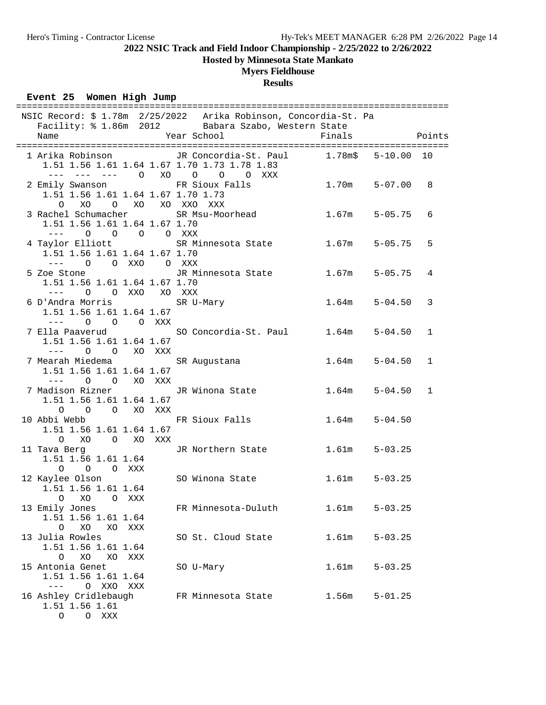# **Hosted by Minnesota State Mankato**

# **Myers Fieldhouse**

## **Results**

### **Event 25 Women High Jump**

|                                                                                                                                                                                                                                                                                                                                                                                                                                                                                   |  | NSIC Record: \$ 1.78m  2/25/2022  Arika Robinson, Concordia-St. Pa<br>Facility: \$ 1.86m 2012 Babara Szabo, Western State |        |                |   |
|-----------------------------------------------------------------------------------------------------------------------------------------------------------------------------------------------------------------------------------------------------------------------------------------------------------------------------------------------------------------------------------------------------------------------------------------------------------------------------------|--|---------------------------------------------------------------------------------------------------------------------------|--------|----------------|---|
| Year School<br>Name                                                                                                                                                                                                                                                                                                                                                                                                                                                               |  |                                                                                                                           | Finals | Points         |   |
|                                                                                                                                                                                                                                                                                                                                                                                                                                                                                   |  |                                                                                                                           |        |                |   |
| 1.51 1.56 1.61 1.64 1.67 1.70 1.73 1.78 1.83<br>--- --- --- 0 XO 0 0 0 XXX                                                                                                                                                                                                                                                                                                                                                                                                        |  | 1 Arika Robinson           JR Concordia-St. Paul       1.78m\$                                                            |        | $5 - 10.00$ 10 |   |
| 2 Emily Swanson No FR Sioux Falls<br>1.51 1.56 1.61 1.64 1.67 1.70 1.73                                                                                                                                                                                                                                                                                                                                                                                                           |  |                                                                                                                           | 1.70m  | $5 - 07.00$    | 8 |
| 0 XO O XO XO XXO XXX                                                                                                                                                                                                                                                                                                                                                                                                                                                              |  |                                                                                                                           |        |                |   |
|                                                                                                                                                                                                                                                                                                                                                                                                                                                                                   |  | 3 Rachel Schumacher SR Msu-Moorhead 1.67m                                                                                 |        | $5 - 05.75$    | 6 |
| 1.51 1.56 1.61 1.64 1.67 1.70<br>--- 0 0 0 0 XXX                                                                                                                                                                                                                                                                                                                                                                                                                                  |  |                                                                                                                           |        |                |   |
|                                                                                                                                                                                                                                                                                                                                                                                                                                                                                   |  | 4 Taylor Elliott SR Minnesota State 1.67m                                                                                 |        | $5 - 05.75$    | 5 |
| 1.51 1.56 1.61 1.64 1.67 1.70<br>--- 0 0 XXO 0 XXX                                                                                                                                                                                                                                                                                                                                                                                                                                |  |                                                                                                                           |        |                |   |
|                                                                                                                                                                                                                                                                                                                                                                                                                                                                                   |  | 5 Zoe Stone                 JR Minnesota State           1.67m                                                            |        | $5 - 05.75$    | 4 |
| 1.51 1.56 1.61 1.64 1.67 1.70<br>--- 0 0 XXO XO XXX                                                                                                                                                                                                                                                                                                                                                                                                                               |  |                                                                                                                           |        |                |   |
| 6 D'Andra Morris SR U-Mary                                                                                                                                                                                                                                                                                                                                                                                                                                                        |  |                                                                                                                           | 1.64m  | $5 - 04.50$    | 3 |
| 1.51 1.56 1.61 1.64 1.67                                                                                                                                                                                                                                                                                                                                                                                                                                                          |  |                                                                                                                           |        |                |   |
| $\begin{tabular}{lllllllll} - & - & \multicolumn{3}{l}{} & \multicolumn{3}{l}{} & \multicolumn{3}{l}{} & \multicolumn{3}{l}{} & \multicolumn{3}{l}{} & \multicolumn{3}{l}{} & \multicolumn{3}{l}{} & \multicolumn{3}{l}{} & \multicolumn{3}{l}{} & \multicolumn{3}{l}{} & \multicolumn{3}{l}{} & \multicolumn{3}{l}{} & \multicolumn{3}{l}{} & \multicolumn{3}{l}{} & \multicolumn{3}{l}{} & \multicolumn{3}{l}{} & \multicolumn{3}{l}{} & \multicolumn{3}{l}{} & \multicolumn{3$ |  |                                                                                                                           |        |                |   |
| 7 Ella Paaverud                                                                                                                                                                                                                                                                                                                                                                                                                                                                   |  | SO Concordia-St. Paul 1.64m                                                                                               |        | $5 - 04.50$    | 1 |
| 1.51 1.56 1.61 1.64 1.67                                                                                                                                                                                                                                                                                                                                                                                                                                                          |  |                                                                                                                           |        |                |   |
| --- 0 0 XO XXX                                                                                                                                                                                                                                                                                                                                                                                                                                                                    |  |                                                                                                                           |        |                |   |
| 7 Mearah Miedema                                                                                                                                                                                                                                                                                                                                                                                                                                                                  |  | SR Augustana                                                                                                              | 1.64m  | $5 - 04.50$    | 1 |
| 1.51 1.56 1.61 1.64 1.67                                                                                                                                                                                                                                                                                                                                                                                                                                                          |  |                                                                                                                           |        |                |   |
| --- 0 0 XO XXX                                                                                                                                                                                                                                                                                                                                                                                                                                                                    |  |                                                                                                                           |        |                |   |
| 7 Madison Rizner (JR Winona State                                                                                                                                                                                                                                                                                                                                                                                                                                                 |  |                                                                                                                           | 1.64m  | $5 - 04.50$    | 1 |
| 1.51 1.56 1.61 1.64 1.67                                                                                                                                                                                                                                                                                                                                                                                                                                                          |  |                                                                                                                           |        |                |   |
| O O O XO XXX                                                                                                                                                                                                                                                                                                                                                                                                                                                                      |  |                                                                                                                           |        |                |   |
| 10 Abbi Webb FR Sioux Falls                                                                                                                                                                                                                                                                                                                                                                                                                                                       |  |                                                                                                                           | 1.64m  | $5 - 04.50$    |   |
| 1.51 1.56 1.61 1.64 1.67                                                                                                                                                                                                                                                                                                                                                                                                                                                          |  |                                                                                                                           |        |                |   |
| O XO O XO XXX                                                                                                                                                                                                                                                                                                                                                                                                                                                                     |  |                                                                                                                           |        | $5 - 03.25$    |   |
| 11 Tava Berg<br>1.51 1.56 1.61 1.64                                                                                                                                                                                                                                                                                                                                                                                                                                               |  | JR Northern State 1.61m                                                                                                   |        |                |   |
| O O O XXX                                                                                                                                                                                                                                                                                                                                                                                                                                                                         |  |                                                                                                                           |        |                |   |
| 12 Kaylee Olson                                                                                                                                                                                                                                                                                                                                                                                                                                                                   |  | SO Winona State                                                                                                           | 1.61m  | $5 - 03.25$    |   |
| 1.51 1.56 1.61 1.64                                                                                                                                                                                                                                                                                                                                                                                                                                                               |  |                                                                                                                           |        |                |   |
| O XO<br>O XXX                                                                                                                                                                                                                                                                                                                                                                                                                                                                     |  |                                                                                                                           |        |                |   |
| 13 Emily Jones                                                                                                                                                                                                                                                                                                                                                                                                                                                                    |  | FR Minnesota-Duluth                                                                                                       | 1.61m  | $5 - 03.25$    |   |
| 1.51 1.56 1.61 1.64                                                                                                                                                                                                                                                                                                                                                                                                                                                               |  |                                                                                                                           |        |                |   |
| XO<br>$\circ$<br>XO<br>XXX                                                                                                                                                                                                                                                                                                                                                                                                                                                        |  |                                                                                                                           |        |                |   |
| 13 Julia Rowles                                                                                                                                                                                                                                                                                                                                                                                                                                                                   |  | SO St. Cloud State                                                                                                        | 1.61m  | $5 - 03.25$    |   |
| 1.51 1.56 1.61 1.64                                                                                                                                                                                                                                                                                                                                                                                                                                                               |  |                                                                                                                           |        |                |   |
| O<br>XO<br>XO<br>XXX                                                                                                                                                                                                                                                                                                                                                                                                                                                              |  |                                                                                                                           |        |                |   |
| 15 Antonia Genet                                                                                                                                                                                                                                                                                                                                                                                                                                                                  |  | SO U-Mary                                                                                                                 | 1.61m  | $5 - 03.25$    |   |
| 1.51 1.56 1.61 1.64                                                                                                                                                                                                                                                                                                                                                                                                                                                               |  |                                                                                                                           |        |                |   |
| O XXO<br>$---$<br>XXX                                                                                                                                                                                                                                                                                                                                                                                                                                                             |  |                                                                                                                           |        |                |   |
| 16 Ashley Cridlebaugh                                                                                                                                                                                                                                                                                                                                                                                                                                                             |  | FR Minnesota State                                                                                                        | 1.56m  | $5 - 01.25$    |   |
| 1.51 1.56 1.61                                                                                                                                                                                                                                                                                                                                                                                                                                                                    |  |                                                                                                                           |        |                |   |
| O XXX<br>$\circ$                                                                                                                                                                                                                                                                                                                                                                                                                                                                  |  |                                                                                                                           |        |                |   |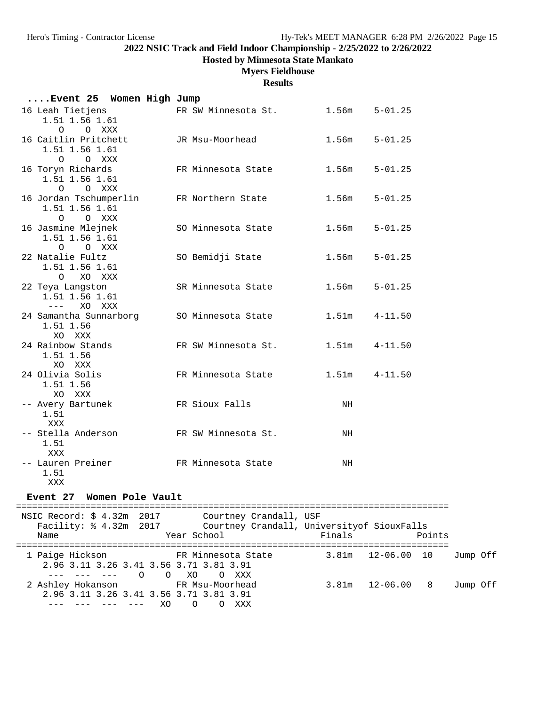### **Hosted by Minnesota State Mankato**

### **Myers Fieldhouse**

#### **Results**

| Event 25 Women High Jump                                 |                     |                   |             |
|----------------------------------------------------------|---------------------|-------------------|-------------|
| 16 Leah Tietjens<br>1.51 1.56 1.61<br>O O XXX            | FR SW Minnesota St. | $1.56m$ $5-01.25$ |             |
| 16 Caitlin Pritchett<br>1.51 1.56 1.61<br>O O XXX        | JR Msu-Moorhead     | 1.56m             | $5 - 01.25$ |
| 16 Toryn Richards<br>1.51 1.56 1.61<br>$\Omega$<br>O XXX | FR Minnesota State  | 1.56m             | $5 - 01.25$ |
| 16 Jordan Tschumperlin<br>1.51 1.56 1.61<br>O O XXX      | FR Northern State   | 1.56m             | $5 - 01.25$ |
| 16 Jasmine Mlejnek<br>1.51 1.56 1.61<br>O O XXX          | SO Minnesota State  | 1.56m             | $5 - 01.25$ |
| 22 Natalie Fultz<br>1.51 1.56 1.61<br>O XO XXX           | SO Bemidji State    | 1.56m             | $5 - 01.25$ |
| 22 Teya Langston<br>1.51 1.56 1.61<br>--- xo xxx         | SR Minnesota State  | $1.56m$ $5-01.25$ |             |
| 24 Samantha Sunnarborg<br>1.51 1.56<br>XO XXX            | SO Minnesota State  | 1.51m             | $4 - 11.50$ |
| 24 Rainbow Stands<br>1.51 1.56<br>XO XXX                 | FR SW Minnesota St. | $1.51m$ $4-11.50$ |             |
| 24 Olivia Solis<br>1.51 1.56<br>XO XXX                   | FR Minnesota State  | $1.51m$ $4-11.50$ |             |
| -- Avery Bartunek<br>1.51<br>XXX                         | FR Sioux Falls      | NH                |             |
| -- Stella Anderson<br>1.51<br>XXX                        | FR SW Minnesota St. | NH                |             |
| -- Lauren Preiner<br>1.51<br>XXX                         | FR Minnesota State  | NH                |             |

### **Event 27 Women Pole Vault**

================================================================================= NSIC Record: \$ 4.32m 2017 Courtney Crandall, USF Facility: % 4.32m 2017 Courtney Crandall, Universityof SiouxFalls Name  $Year School$  Finals Points ================================================================================= 1 Paige Hickson FR Minnesota State 3.81m 12-06.00 10 Jump Off 2.96 3.11 3.26 3.41 3.56 3.71 3.81 3.91 --- --- --- O O XO O XXX 2 Ashley Hokanson FR Msu-Moorhead 3.81m 12-06.00 8 Jump Off 2.96 3.11 3.26 3.41 3.56 3.71 3.81 3.91 --- --- --- --- XO O O XXX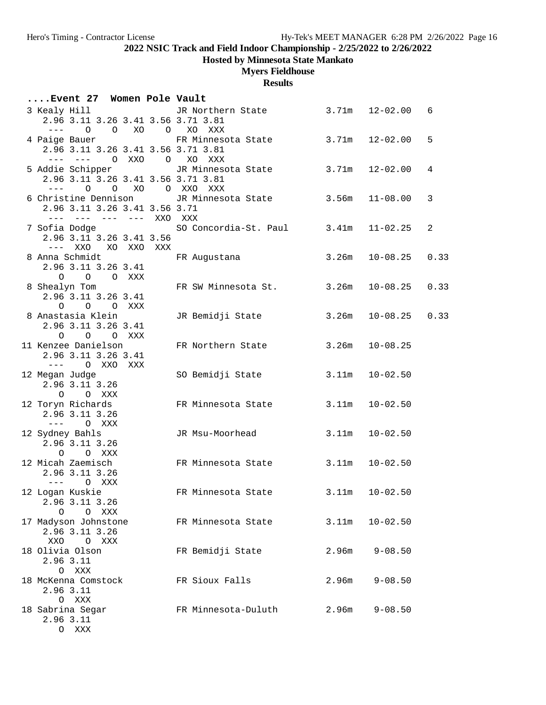O XXX

**2022 NSIC Track and Field Indoor Championship - 2/25/2022 to 2/26/2022**

**Hosted by Minnesota State Mankato**

# **Myers Fieldhouse**

| Event 27 Women Pole Vault                                                                                                                                                                                                                                                                                                                                                                                                                              |              |                                        |       |                    |      |
|--------------------------------------------------------------------------------------------------------------------------------------------------------------------------------------------------------------------------------------------------------------------------------------------------------------------------------------------------------------------------------------------------------------------------------------------------------|--------------|----------------------------------------|-------|--------------------|------|
| 3 Kealy Hill<br>2.96 3.11 3.26 3.41 3.56 3.71 3.81<br>$\frac{1}{2} \frac{1}{2} \frac{1}{2} \frac{1}{2} \frac{1}{2} \frac{1}{2} \frac{1}{2} \frac{1}{2} \frac{1}{2} \frac{1}{2} \frac{1}{2} \frac{1}{2} \frac{1}{2} \frac{1}{2} \frac{1}{2} \frac{1}{2} \frac{1}{2} \frac{1}{2} \frac{1}{2} \frac{1}{2} \frac{1}{2} \frac{1}{2} \frac{1}{2} \frac{1}{2} \frac{1}{2} \frac{1}{2} \frac{1}{2} \frac{1}{2} \frac{1}{2} \frac{1}{2} \frac{1}{2} \frac{$     | $0$ 0 $X0$ 0 | JR Northern State<br>XO XXX            | 3.71m | $12 - 02.00$       | 6    |
| 4 Paige Bauer<br>2.96 3.11 3.26 3.41 3.56 3.71 3.81<br>$- - - -$<br>$\qquad \qquad - -$                                                                                                                                                                                                                                                                                                                                                                | O XXO O      | FR Minnesota State<br>XO XXX           | 3.71m | $12 - 02.00$       | 5    |
| 5 Addie Schipper<br>2.96 3.11 3.26 3.41 3.56 3.71 3.81<br>$\frac{1}{2} \frac{1}{2} \frac{1}{2} \frac{1}{2} \frac{1}{2} \frac{1}{2} \frac{1}{2} \frac{1}{2} \frac{1}{2} \frac{1}{2} \frac{1}{2} \frac{1}{2} \frac{1}{2} \frac{1}{2} \frac{1}{2} \frac{1}{2} \frac{1}{2} \frac{1}{2} \frac{1}{2} \frac{1}{2} \frac{1}{2} \frac{1}{2} \frac{1}{2} \frac{1}{2} \frac{1}{2} \frac{1}{2} \frac{1}{2} \frac{1}{2} \frac{1}{2} \frac{1}{2} \frac{1}{2} \frac{$ |              | JR Minnesota State<br>0 0 XO 0 XXO XXX | 3.71m | $12 - 02.00$       | 4    |
| 6 Christine Dennison<br>2.96 3.11 3.26 3.41 3.56 3.71                                                                                                                                                                                                                                                                                                                                                                                                  |              | JR Minnesota State<br>XXO XXX          | 3.56m | $11 - 08.00$       | 3    |
| 7 Sofia Dodge<br>2.96 3.11 3.26 3.41 3.56<br>XXO<br>$----$                                                                                                                                                                                                                                                                                                                                                                                             | XO XXO XXX   | SO Concordia-St. Paul 3.41m            |       | $11 - 02.25$       | 2    |
| 8 Anna Schmidt<br>2.96 3.11 3.26 3.41<br>$\circ$<br>O XXX<br>$\circ$                                                                                                                                                                                                                                                                                                                                                                                   |              | FR Augustana                           | 3.26m | $10 - 08.25$       | 0.33 |
| 8 Shealyn Tom<br>2.96 3.11 3.26 3.41<br>$\circ$<br>O O XXX                                                                                                                                                                                                                                                                                                                                                                                             |              | FR SW Minnesota St.                    | 3.26m | $10 - 08.25$       | 0.33 |
| 8 Anastasia Klein<br>2.96 3.11 3.26 3.41<br>$\circ$<br>O O XXX                                                                                                                                                                                                                                                                                                                                                                                         |              | JR Bemidji State                       | 3.26m | $10 - 08.25$       | 0.33 |
| 11 Kenzee Danielson<br>2.96 3.11 3.26 3.41<br>O XXO<br>$\frac{1}{2} \frac{1}{2} \frac{1}{2} \frac{1}{2} \frac{1}{2} \frac{1}{2} \frac{1}{2} \frac{1}{2} \frac{1}{2} \frac{1}{2} \frac{1}{2} \frac{1}{2} \frac{1}{2} \frac{1}{2} \frac{1}{2} \frac{1}{2} \frac{1}{2} \frac{1}{2} \frac{1}{2} \frac{1}{2} \frac{1}{2} \frac{1}{2} \frac{1}{2} \frac{1}{2} \frac{1}{2} \frac{1}{2} \frac{1}{2} \frac{1}{2} \frac{1}{2} \frac{1}{2} \frac{1}{2} \frac{$    | XXX          | FR Northern State                      | 3.26m | $10 - 08.25$       |      |
| 12 Megan Judge<br>2.96 3.11 3.26<br>$\circ$<br>O XXX                                                                                                                                                                                                                                                                                                                                                                                                   |              | SO Bemidji State                       | 3.11m | $10 - 02.50$       |      |
| 12 Toryn Richards<br>2.96 3.11 3.26<br>$\frac{1}{2} \frac{1}{2} \frac{1}{2} \frac{1}{2} \frac{1}{2} \frac{1}{2} \frac{1}{2} \frac{1}{2} \frac{1}{2} \frac{1}{2} \frac{1}{2} \frac{1}{2} \frac{1}{2} \frac{1}{2} \frac{1}{2} \frac{1}{2} \frac{1}{2} \frac{1}{2} \frac{1}{2} \frac{1}{2} \frac{1}{2} \frac{1}{2} \frac{1}{2} \frac{1}{2} \frac{1}{2} \frac{1}{2} \frac{1}{2} \frac{1}{2} \frac{1}{2} \frac{1}{2} \frac{1}{2} \frac{$<br>O XXX           |              | FR Minnesota State                     | 3.11m | $10 - 02.50$       |      |
| 12 Sydney Bahls<br>2.96 3.11 3.26<br>$\circ$<br>O XXX                                                                                                                                                                                                                                                                                                                                                                                                  |              | JR Msu-Moorhead                        | 3.11m | $10 - 02.50$       |      |
| 12 Micah Zaemisch<br>2.96 3.11 3.26<br>$\frac{1}{2} \frac{1}{2} \frac{1}{2} \frac{1}{2} \frac{1}{2} \frac{1}{2} \frac{1}{2} \frac{1}{2} \frac{1}{2} \frac{1}{2} \frac{1}{2} \frac{1}{2} \frac{1}{2} \frac{1}{2} \frac{1}{2} \frac{1}{2} \frac{1}{2} \frac{1}{2} \frac{1}{2} \frac{1}{2} \frac{1}{2} \frac{1}{2} \frac{1}{2} \frac{1}{2} \frac{1}{2} \frac{1}{2} \frac{1}{2} \frac{1}{2} \frac{1}{2} \frac{1}{2} \frac{1}{2} \frac{$<br>O XXX           |              | FR Minnesota State                     | 3.11m | $10 - 02.50$       |      |
| 12 Logan Kuskie<br>2.96 3.11 3.26<br>$\circ$<br>O XXX                                                                                                                                                                                                                                                                                                                                                                                                  |              | FR Minnesota State                     |       | $3.11m$ $10-02.50$ |      |
| 17 Madyson Johnstone<br>2.96 3.11 3.26<br>XXO O XXX                                                                                                                                                                                                                                                                                                                                                                                                    |              | FR Minnesota State                     | 3.11m | $10 - 02.50$       |      |
| 18 Olivia Olson<br>2.96 3.11<br>O XXX                                                                                                                                                                                                                                                                                                                                                                                                                  |              | FR Bemidji State                       | 2.96m | $9 - 08.50$        |      |
| 18 McKenna Comstock<br>2.96 3.11<br>O XXX                                                                                                                                                                                                                                                                                                                                                                                                              |              | FR Sioux Falls                         | 2.96m | $9 - 08.50$        |      |
| 18 Sabrina Segar<br>2.96 3.11                                                                                                                                                                                                                                                                                                                                                                                                                          |              | FR Minnesota-Duluth                    | 2.96m | $9 - 08.50$        |      |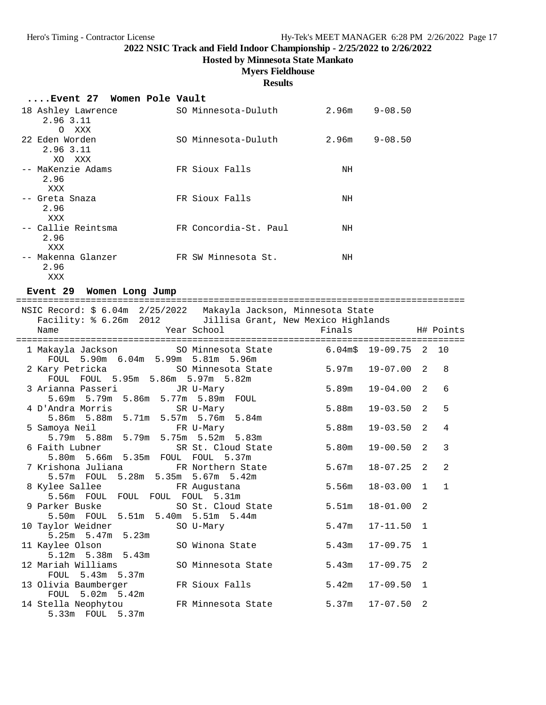# **Hosted by Minnesota State Mankato**

# **Myers Fieldhouse**

### **Results**

### **....Event 27 Women Pole Vault**

| 18 Ashley Lawrence<br>2.96 3.11<br>XXX<br>$\circ$ | SO Minnesota-Duluth   | 2.96m | $9 - 08.50$ |
|---------------------------------------------------|-----------------------|-------|-------------|
| 22 Eden Worden<br>2.96 3.11<br>XO XXX             | SO Minnesota-Duluth   | 2.96m | $9 - 08.50$ |
| -- MaKenzie Adams<br>2.96<br>XXX                  | FR Sioux Falls        | NH    |             |
| -- Greta Snaza<br>2.96<br>XXX                     | FR Sioux Falls        | NH    |             |
| -- Callie Reintsma<br>2.96<br>XXX                 | FR Concordia-St. Paul | ΝH    |             |
| -- Makenna Glanzer<br>2.96<br>XXX                 | FR SW Minnesota St.   | NH    |             |

### **Event 29 Women Long Jump**

| NSIC Record: \$ 6.04m 2/25/2022 Makayla Jackson, Minnesota State<br>Facility: % 6.26m 2012 Jillisa Grant, New Mexico Highlands |       |                    |                |              |
|--------------------------------------------------------------------------------------------------------------------------------|-------|--------------------|----------------|--------------|
| Year School<br><b>Example 19</b> Finals<br>Name                                                                                |       | H# Points          |                |              |
| 1 Makayla Jackson SO Minnesota State 6.04m\$ 19-09.75 2 10<br>FOUL 5.90m 6.04m 5.99m 5.81m 5.96m                               |       |                    |                |              |
|                                                                                                                                |       |                    |                | 8            |
| 3 Arianna Passeri<br>JR U-Mary<br>5.69m 5.79m 5.86m 5.77m 5.89m FOUL                                                           | 5.89m | $19 - 04.00$ 2     |                | 6            |
|                                                                                                                                | 5.88m | 19-03.50 2         |                | 5            |
| 5 Samoya Neil Party FR U-Mary<br>5.79m 5.88m 5.79m 5.75m 5.52m 5.83m                                                           | 5.88m | 19-03.50           | 2              | 4            |
| 6 Faith Lubner<br>SR St. Cloud State<br>5.80m 5.66m 5.35m FOUL FOUL 5.37m                                                      | 5.80m | $19 - 00.50$ 2     |                | 3            |
| 7 Krishona Juliana         FR Northern State<br>5.57m FOUL 5.28m 5.35m 5.67m 5.42m                                             | 5.67m | $18 - 07.25$ 2     |                | 2            |
| 8 Kylee Sallee FR Augustana<br>5.56m FOUL FOUL FOUL FOUL 5.31m                                                                 | 5.56m | $18 - 03.00$ 1     |                | $\mathbf{1}$ |
| 9 Parker Buske<br>SO St. Cloud State<br>5.50m FOUL 5.51m 5.40m 5.51m 5.44m                                                     | 5.51m | 18-01.00           | $\mathfrak{D}$ |              |
| 10 Taylor Weidner SO U-Mary<br>$5.25m$ $5.47m$ $5.23m$                                                                         | 5.47m | $17 - 11.50$ 1     |                |              |
| 11 Kaylee Olson SO Winona State<br>5.12m 5.38m 5.43m                                                                           | 5.43m | $17 - 09.75$ 1     |                |              |
| 12 Mariah Williams 60 Minnesota State<br>FOUL 5.43m 5.37m                                                                      | 5.43m | 17-09.75           | 2              |              |
| FR Sioux Falls<br>13 Olivia Baumberger<br>FOUL 5.02m 5.42m                                                                     |       | 5.42m  17-09.50  1 |                |              |
| 14 Stella Neophytou FR Minnesota State<br>5.33m FOUL 5.37m                                                                     |       | $5.37m$ $17-07.50$ | 2              |              |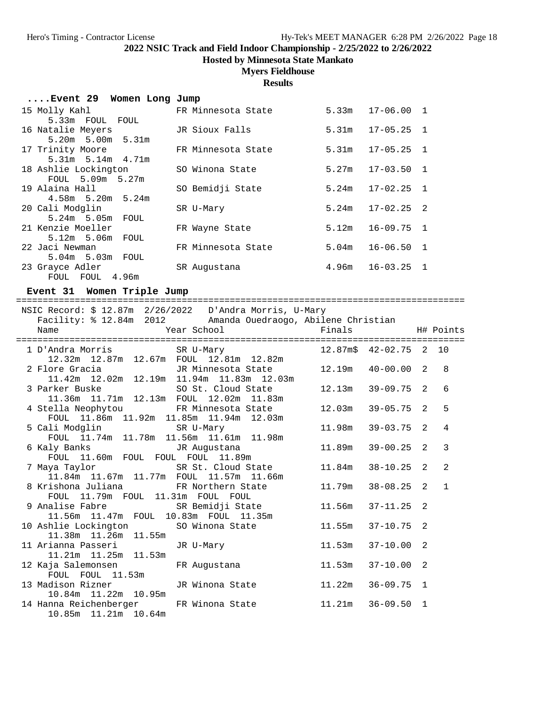**Hosted by Minnesota State Mankato**

#### **Myers Fieldhouse**

### **Results**

| Event 29 Women Long Jump |  |  |  |  |  |
|--------------------------|--|--|--|--|--|
|--------------------------|--|--|--|--|--|

| 15 Molly Kahl           | FR Minnesota State | 5.33m | $17 - 06.00$ 1 |  |
|-------------------------|--------------------|-------|----------------|--|
| 5.33m FOUL FOUL         |                    |       |                |  |
| 16 Natalie Meyers       | JR Sioux Falls     | 5.31m | $17 - 05.25$ 1 |  |
| 5.20m 5.00m 5.31m       |                    |       |                |  |
| 17 Trinity Moore        | FR Minnesota State | 5.31m | $17 - 05.25$ 1 |  |
| $5.31m$ $5.14m$ $4.71m$ |                    |       |                |  |
| 18 Ashlie Lockington    | SO Winona State    | 5.27m | $17 - 03.50$ 1 |  |
| FOUL 5.09m 5.27m        |                    |       |                |  |
| 19 Alaina Hall          | SO Bemidji State   | 5.24m | $17 - 02.25$ 1 |  |
| $4.58m$ 5.20m 5.24m     |                    |       |                |  |
| 20 Cali Modglin         | SR U-Mary          | 5.24m | $17 - 02.25$ 2 |  |
| 5.24m 5.05m FOUL        |                    |       |                |  |
| 21 Kenzie Moeller       | FR Wayne State     | 5.12m | $16 - 09.75$ 1 |  |
| 5.12m 5.06m<br>FOUL     |                    |       |                |  |
| 22 Jaci Newman          | FR Minnesota State | 5.04m | $16 - 06.50$ 1 |  |
| 5.04m 5.03m FOUL        |                    |       |                |  |
| 23 Grayce Adler         | SR Augustana       | 4.96m | $16 - 03.25$ 1 |  |
| FOUL FOUL 4.96m         |                    |       |                |  |

#### **Event 31 Women Triple Jump**

==================================================================================== NSIC Record: \$ 12.87m 2/26/2022 D'Andra Morris, U-Mary Facility: % 12.84m 2012 Amanda Ouedraogo, Abilene Christian Name The School Team School Finals H# Points ==================================================================================== 1 D'Andra Morris SR U-Mary 12.87m\$ 42-02.75 2 10 12.32m 12.87m 12.67m FOUL 12.81m 12.82m 2 Flore Gracia JR Minnesota State 12.19m 40-00.00 2 8 11.42m 12.02m 12.19m 11.94m 11.83m 12.03m 3 Parker Buske SO St. Cloud State 12.13m 39-09.75 2 6 11.36m 11.71m 12.13m FOUL 12.02m 11.83m 4 Stella Neophytou FR Minnesota State 12.03m 39-05.75 2 5 FOUL 11.86m 11.92m 11.85m 11.94m 12.03m 5 Cali Modglin SR U-Mary 11.98m 39-03.75 2 4 FOUL 11.74m 11.78m 11.56m 11.61m 11.98m 6 Kaly Banks JR Augustana 11.89m 39-00.25 2 3 FOUL 11.60m FOUL FOUL FOUL 11.89m 7 Maya Taylor SR St. Cloud State 11.84m 38-10.25 2 2 11.84m 11.67m 11.77m FOUL 11.57m 11.66m 8 Krishona Juliana FR Northern State 11.79m 38-08.25 2 1 FOUL 11.79m FOUL 11.31m FOUL FOUL 9 Analise Fabre SR Bemidji State 11.56m 37-11.25 2 11.56m 11.47m FOUL 10.83m FOUL 11.35m 10 Ashlie Lockington SO Winona State 11.55m 37-10.75 2 11.38m 11.26m 11.55m 11 Arianna Passeri JR U-Mary 11.53m 37-10.00 2 11.21m 11.25m 11.53m 12 Kaja Salemonsen FR Augustana 11.53m 37-10.00 2 FOUL FOUL 11.53m 13 Madison Rizner JR Winona State 11.22m 36-09.75 1 10.84m 11.22m 10.95m 14 Hanna Reichenberger FR Winona State 11.21m 36-09.50 1 10.85m 11.21m 10.64m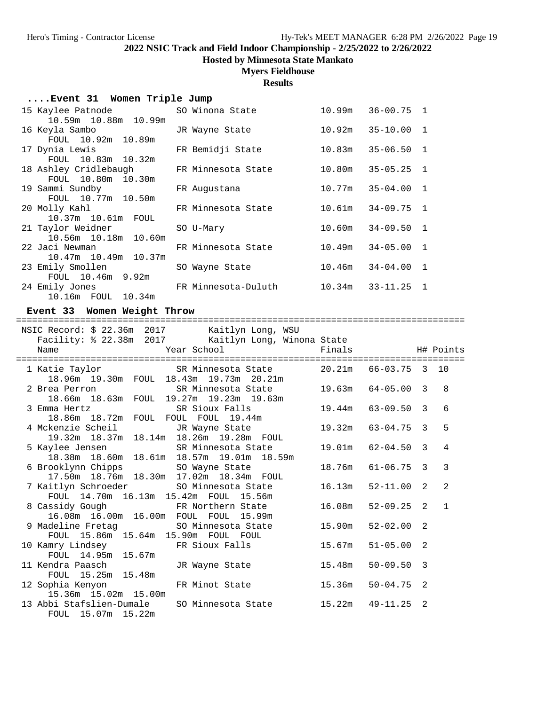**Hosted by Minnesota State Mankato**

## **Myers Fieldhouse**

**Results**

| Event 31 Women Triple Jump |  |  |  |  |
|----------------------------|--|--|--|--|
|----------------------------|--|--|--|--|

| 15 Kaylee Patnode                                                                                             | SO Winona State                    |                                                                                |                                                                                                                                                                                                                                                    |
|---------------------------------------------------------------------------------------------------------------|------------------------------------|--------------------------------------------------------------------------------|----------------------------------------------------------------------------------------------------------------------------------------------------------------------------------------------------------------------------------------------------|
| 10.59m 10.88m 10.99m                                                                                          |                                    |                                                                                |                                                                                                                                                                                                                                                    |
| 16 Keyla Sambo kara sa matsa na kacamatan ing Kabupatèn Bandara, Kabupatén Ing Kabupatén Ing Kabupatén Ing Ka | JR Wayne State                     |                                                                                |                                                                                                                                                                                                                                                    |
| FOUL 10.92m 10.89m                                                                                            |                                    |                                                                                |                                                                                                                                                                                                                                                    |
| 17 Dynia Lewis                                                                                                | FR Bemidji State                   |                                                                                |                                                                                                                                                                                                                                                    |
| FOUL 10.83m 10.32m                                                                                            |                                    |                                                                                |                                                                                                                                                                                                                                                    |
|                                                                                                               |                                    |                                                                                |                                                                                                                                                                                                                                                    |
| FOUL 10.80m 10.30m                                                                                            |                                    |                                                                                |                                                                                                                                                                                                                                                    |
| 19 Sammi Sundby                                                                                               | FR Augustana                       |                                                                                |                                                                                                                                                                                                                                                    |
| FOUL 10.77m 10.50m                                                                                            |                                    |                                                                                |                                                                                                                                                                                                                                                    |
| 20 Molly Kahl                                                                                                 | FR Minnesota State                 |                                                                                |                                                                                                                                                                                                                                                    |
| 10.37m 10.61m FOUL                                                                                            |                                    |                                                                                |                                                                                                                                                                                                                                                    |
| 21 Taylor Weidner                                                                                             | SO U-Mary                          |                                                                                |                                                                                                                                                                                                                                                    |
| 10.56m 10.18m 10.60m                                                                                          |                                    |                                                                                |                                                                                                                                                                                                                                                    |
|                                                                                                               | FR Minnesota State                 |                                                                                |                                                                                                                                                                                                                                                    |
| 10.47m 10.49m 10.37m                                                                                          |                                    |                                                                                |                                                                                                                                                                                                                                                    |
|                                                                                                               | SO Wayne State                     |                                                                                |                                                                                                                                                                                                                                                    |
| FOUL 10.46m 9.92m                                                                                             |                                    |                                                                                |                                                                                                                                                                                                                                                    |
|                                                                                                               |                                    |                                                                                |                                                                                                                                                                                                                                                    |
| 10.16m FOUL 10.34m                                                                                            |                                    |                                                                                |                                                                                                                                                                                                                                                    |
|                                                                                                               | 22 Jaci Newman<br>23 Emily Smollen | 18 Ashley Cridlebaugh FR Minnesota State<br>24 Emily Jones TR Minnesota-Duluth | $10.99m$ $36-00.75$ 1<br>$10.92m$ $35-10.00$ 1<br>$10.83m$ $35-06.50$ 1<br>$10.80m$ $35-05.25$ 1<br>$10.77m$ $35-04.00$ 1<br>$10.61m$ $34-09.75$ 1<br>$10.60m$ $34-09.50$ 1<br>$10.49m$ $34-05.00$ 1<br>$10.46m$ $34-04.00$ 1<br>10.34m 33-11.25 1 |

**Event 33 Women Weight Throw**

==================================================================================== NSIC Record: \$ 22.36m 2017 Kaitlyn Long, WSU

| $N$ SIC Record $\frac{1}{2}$ $\frac{2}{3}$ of $\frac{1}{2}$ of $\frac{1}{2}$ ratury in Dong, where<br>Name | Facility: \$ 22.38m 2017 Kaitlyn Long, Winona State<br>Year School The Management of the Management of the Management of the Management of the Management of the Management of the Management of the Management of the Management of the Management of the Management of the Manageme | Finals H# Points |                |                |
|------------------------------------------------------------------------------------------------------------|---------------------------------------------------------------------------------------------------------------------------------------------------------------------------------------------------------------------------------------------------------------------------------------|------------------|----------------|----------------|
| 1 Katie Taylor 65 - SR Minnesota State 20.21m 66-03.75 3 10<br>18.96m 19.30m FOUL 18.43m 19.73m 20.21m     |                                                                                                                                                                                                                                                                                       |                  |                |                |
| 2 Brea Perron SR Minnesota State<br>18.66m  18.63m  FOUL  19.27m  19.23m  19.63m                           |                                                                                                                                                                                                                                                                                       | 19.63m           | $64 - 05.00$ 3 | 8              |
| 3 Emma Hertz SR Sioux Falls<br>18.86m  18.72m  FOUL  FOUL  FOUL  19.44m                                    |                                                                                                                                                                                                                                                                                       | 19.44m           | $63 - 09.50$ 3 | 6              |
| 4 Mckenzie Scheil GR Wayne State<br>19.32m 18.37m 18.14m 18.26m 19.28m FOUL                                |                                                                                                                                                                                                                                                                                       | 19.32m           | $63 - 04.75$ 3 | 5              |
| 5 Kaylee Jensen             SR Minnesota State<br>18.38m  18.60m  18.61m  18.57m  19.01m  18.59m           |                                                                                                                                                                                                                                                                                       | 19.01m           | $62 - 04.50$ 3 | $\overline{4}$ |
| 6 Brooklynn Chipps 50 Wayne State<br>17.50m 18.76m 18.30m 17.02m 18.34m FOUL                               |                                                                                                                                                                                                                                                                                       | 18.76m           | $61 - 06.75$ 3 | 3              |
| 7 Kaitlyn Schroeder SO Minnesota State<br>FOUL 14.70m 16.13m 15.42m FOUL 15.56m                            |                                                                                                                                                                                                                                                                                       | 16.13m           | $52 - 11.00$ 2 | $\mathfrak{D}$ |
| 8 Cassidy Gough TR Northern State<br>16.08m  16.00m  16.00m  FOUL  FOUL  15.99m                            |                                                                                                                                                                                                                                                                                       | 16.08m           | $52 - 09.25$ 2 | $\mathbf{1}$   |
| 9 Madeline Fretag SO Minnesota State<br>FOUL 15.86m 15.64m 15.90m FOUL FOUL                                |                                                                                                                                                                                                                                                                                       | 15.90m           | $52 - 02.00$ 2 |                |
| 10 Kamry Lindsey 6 FR Sioux Falls<br>FOUL 14.95m 15.67m                                                    |                                                                                                                                                                                                                                                                                       | 15.67m           | $51 - 05.00$ 2 |                |
| 11 Kendra Paasch<br>FOUL 15.25m 15.48m                                                                     | JR Wayne State                                                                                                                                                                                                                                                                        | 15.48m           | $50 - 09.50$ 3 |                |
| 12 Sophia Kenyon                 FR Minot State<br>15.36m 15.02m 15.00m                                    |                                                                                                                                                                                                                                                                                       | 15.36m           | $50 - 04.75$ 2 |                |
| 13 Abbi Stafslien-Dumale<br>FOUL 15.07m 15.22m                                                             | SO Minnesota State                                                                                                                                                                                                                                                                    | 15.22m           | 49-11.25 2     |                |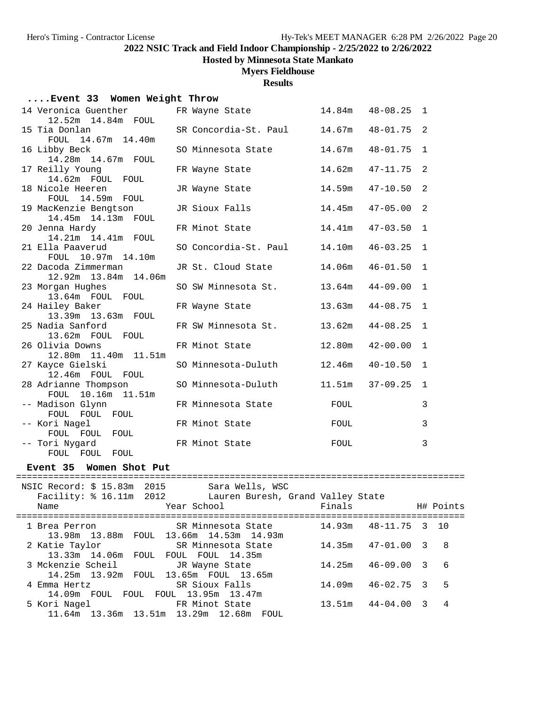**Hosted by Minnesota State Mankato**

## **Myers Fieldhouse**

### **Results**

### **....Event 33 Women Weight Throw**

| 14 Veronica Guenther                  | FR Wayne State               | 14.84m | $48 - 08.25$   | $\mathbf{1}$ |
|---------------------------------------|------------------------------|--------|----------------|--------------|
| 12.52m 14.84m FOUL                    |                              |        |                |              |
| 15 Tia Donlan                         | SR Concordia-St. Paul 14.67m |        | $48 - 01.75$ 2 |              |
| FOUL 14.67m 14.40m                    |                              |        |                |              |
| 16 Libby Beck<br>14.28m  14.67m  FOUL | SO Minnesota State           | 14.67m | $48 - 01.75$   | 1            |
| 17 Reilly Young                       | FR Wayne State               | 14.62m | $47 - 11.75$   | 2            |
| 14.62m FOUL FOUL                      |                              |        |                |              |
| 18 Nicole Heeren                      | JR Wayne State               | 14.59m | $47 - 10.50$   | 2            |
| FOUL 14.59m FOUL                      |                              |        |                |              |
| 19 MacKenzie Bengtson                 | JR Sioux Falls               | 14.45m | $47 - 05.00$   | 2            |
| 14.45m  14.13m  FOUL                  |                              |        |                |              |
| 20 Jenna Hardy                        | FR Minot State               | 14.41m | $47 - 03.50$   | $\mathbf{1}$ |
| 14.21m  14.41m  FOUL                  |                              |        |                |              |
| 21 Ella Paaverud                      | SO Concordia-St. Paul        | 14.10m | $46 - 03.25$   | $\mathbf{1}$ |
| FOUL 10.97m 14.10m                    |                              |        |                |              |
| 22 Dacoda Zimmerman                   | JR St. Cloud State           | 14.06m | $46 - 01.50$   | $\mathbf{1}$ |
| 12.92m  13.84m  14.06m                |                              |        |                |              |
| 23 Morgan Hughes<br>13.64m FOUL FOUL  | SO SW Minnesota St.          | 13.64m | $44 - 09.00$   | $\mathbf{1}$ |
| 24 Hailey Baker                       |                              | 13.63m | $44 - 08.75$   | $\mathbf{1}$ |
| 13.39m 13.63m FOUL                    | FR Wayne State               |        |                |              |
| 25 Nadia Sanford                      | FR SW Minnesota St.          | 13.62m | $44 - 08.25$   | $\mathbf{1}$ |
| 13.62m FOUL FOUL                      |                              |        |                |              |
| 26 Olivia Downs                       | FR Minot State               | 12.80m | $42 - 00.00$   | 1            |
| 12.80m 11.40m 11.51m                  |                              |        |                |              |
| 27 Kayce Gielski                      | SO Minnesota-Duluth          | 12.46m | $40 - 10.50$   | 1            |
| 12.46m FOUL FOUL                      |                              |        |                |              |
| 28 Adrianne Thompson                  | SO Minnesota-Duluth          | 11.51m | $37 - 09.25$   | $\mathbf{1}$ |
| FOUL 10.16m 11.51m                    |                              |        |                |              |
| -- Madison Glynn                      | FR Minnesota State           | FOUL   |                | 3            |
| FOUL FOUL FOUL                        |                              |        |                |              |
| -- Kori Nagel                         | FR Minot State               | FOUL   |                | $\mathbf{3}$ |
| FOUL FOUL FOUL                        |                              |        |                |              |
| -- Tori Nygard                        | FR Minot State               | FOUL   |                | 3            |
| FOUL FOUL FOUL                        |                              |        |                |              |

### **Event 35 Women Shot Put**

| NSIC Record: \$ 15.83m 2015<br>Sara Wells, WSC<br>Facility: % 16.11m 2012 Lauren Buresh, Grand Valley State<br>Year School<br>Name | Finals |                      | H# Points      |
|------------------------------------------------------------------------------------------------------------------------------------|--------|----------------------|----------------|
| 1 Brea Perron                     SR Minnesota State<br>13.98m 13.88m FOUL 13.66m 14.53m 14.93m                                    |        | 14.93m 48-11.75 3 10 |                |
| SR Minnesota State<br>2 Katie Taylor<br>13.33m 14.06m FOUL FOUL FOUL 14.35m                                                        |        | 14.35m 47-01.00 3 8  |                |
| 3 Mckenzie Scheil GR Wayne State<br>14.25m 13.92m FOUL 13.65m FOUL 13.65m                                                          |        | 14.25m 46-09.00 3 6  |                |
| SR Sioux Falls<br>4 Emma Hertz<br>14.09m FOUL FOUL FOUL 13.95m 13.47m                                                              | 14.09m | $46 - 02.75$ 3       | 5              |
| 5 Kori Nagel 6 FR Minot State<br>11.64m 13.36m 13.51m 13.29m 12.68m FOUL                                                           | 13.51m | $44 - 04.00$ 3       | $\overline{4}$ |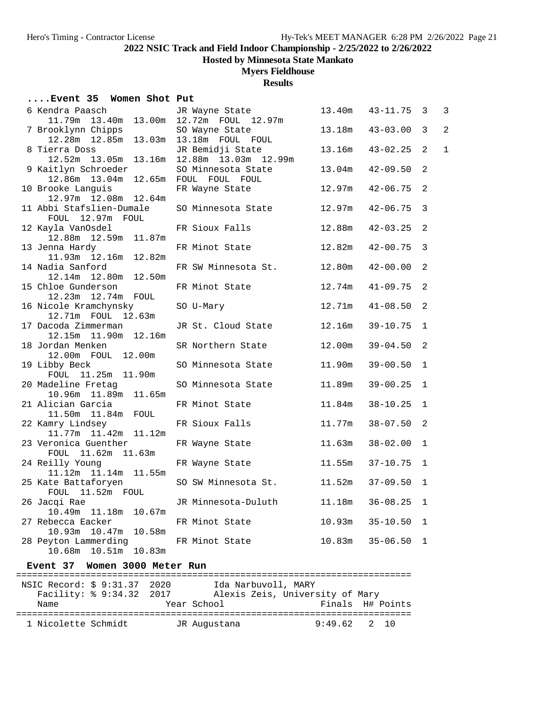**Hosted by Minnesota State Mankato**

### **Myers Fieldhouse**

**Results**

#### **....Event 35 Women Shot Put**

| 6 Kendra Paasch                            | JR Wayne State       | 13.40m | 43-11.75     | 3              | 3              |
|--------------------------------------------|----------------------|--------|--------------|----------------|----------------|
| 11.79m<br>13.40m<br>13.00m                 | 12.72m FOUL 12.97m   |        |              |                |                |
| 7 Brooklynn Chipps                         | SO Wayne State       | 13.18m | $43 - 03.00$ | 3              | $\overline{2}$ |
| 12.28m  12.85m  13.03m  13.18m  FOUL  FOUL |                      |        |              |                |                |
| 8 Tierra Doss                              | JR Bemidji State     | 13.16m | $43 - 02.25$ | 2              | $\mathbf{1}$   |
| 12.52m 13.05m 13.16m                       | 12.88m 13.03m 12.99m |        |              |                |                |
| 9 Kaitlyn Schroeder                        | SO Minnesota State   | 13.04m | $42 - 09.50$ | 2              |                |
| 12.86m 13.04m<br>12.65m                    | FOUL FOUL FOUL       |        |              |                |                |
| 10 Brooke Languis                          | FR Wayne State       | 12.97m | $42 - 06.75$ | $\mathcal{D}$  |                |
| 12.97m 12.08m 12.64m                       |                      |        |              |                |                |
| 11 Abbi Stafslien-Dumale                   | SO Minnesota State   | 12.97m | $42 - 06.75$ | $\overline{3}$ |                |
| FOUL 12.97m FOUL                           |                      |        |              |                |                |
| 12 Kayla VanOsdel                          | FR Sioux Falls       | 12.88m | $42 - 03.25$ | 2              |                |
| 12.88m  12.59m  11.87m                     |                      |        |              |                |                |
|                                            | FR Minot State       | 12.82m | $42 - 00.75$ | 3              |                |
| 13 Jenna Hardy<br>11.93m  12.16m  12.82m   |                      |        |              |                |                |
|                                            |                      |        |              | 2              |                |
| 14 Nadia Sanford                           | FR SW Minnesota St.  | 12.80m | $42 - 00.00$ |                |                |
| 12.14m  12.80m  12.50m                     |                      |        |              |                |                |
| 15 Chloe Gunderson                         | FR Minot State       | 12.74m | $41 - 09.75$ | 2              |                |
| 12.23m  12.74m  FOUL                       |                      |        |              |                |                |
| 16 Nicole Kramchynsky                      | SO U-Mary            | 12.71m | $41 - 08.50$ | 2              |                |
| 12.71m FOUL 12.63m                         |                      |        |              |                |                |
| 17 Dacoda Zimmerman                        | JR St. Cloud State   | 12.16m | $39 - 10.75$ | 1              |                |
| 12.16m<br>12.15m   11.90m                  |                      |        |              |                |                |
| 18 Jordan Menken                           | SR Northern State    | 12.00m | $39 - 04.50$ | 2              |                |
| 12.00m FOUL 12.00m                         |                      |        |              |                |                |
| 19 Libby Beck                              | SO Minnesota State   | 11.90m | $39 - 00.50$ | 1              |                |
| FOUL 11.25m 11.90m                         |                      |        |              |                |                |
| 20 Madeline Fretag                         | SO Minnesota State   | 11.89m | $39 - 00.25$ | $\mathbf{1}$   |                |
| 10.96m  11.89m  11.65m                     |                      |        |              |                |                |
| 21 Alician Garcia                          | FR Minot State       | 11.84m | $38 - 10.25$ | $\overline{1}$ |                |
| 11.50m  11.84m  FOUL                       |                      |        |              |                |                |
| 22 Kamry Lindsey                           | FR Sioux Falls       | 11.77m | $38 - 07.50$ | -2             |                |
| 11.77m   11.42m   11.12m                   |                      |        |              |                |                |
| 23 Veronica Guenther                       | FR Wayne State       | 11.63m | $38 - 02.00$ | 1              |                |
| FOUL 11.62m 11.63m                         |                      |        |              |                |                |
| 24 Reilly Young                            | FR Wayne State       | 11.55m | $37 - 10.75$ | $\mathbf{1}$   |                |
| 11.12m  11.14m  11.55m                     |                      |        |              |                |                |
| 25 Kate Battaforyen                        | SO SW Minnesota St.  | 11.52m | $37 - 09.50$ | 1              |                |
| FOUL 11.52m FOUL                           |                      |        |              |                |                |
| 26 Jacqi Rae                               | JR Minnesota-Duluth  | 11.18m | $36 - 08.25$ | $\mathbf{1}$   |                |
| 10.49m  11.18m  10.67m                     |                      |        |              |                |                |
| 27 Rebecca Eacker                          | FR Minot State       | 10.93m | $35 - 10.50$ | 1              |                |
| 10.93m  10.47m  10.58m                     |                      |        |              |                |                |
| 28 Peyton Lammerding                       | FR Minot State       | 10.83m | $35 - 06.50$ | $\mathbf 1$    |                |
| 10.68m  10.51m<br>10.83m                   |                      |        |              |                |                |
|                                            |                      |        |              |                |                |

#### **Event 37 Women 3000 Meter Run**

========================================================================== NSIC Record: \$ 9:31.37 2020 Ida Narbuvoll, MARY Facility: % 9:34.32 2017 Alexis Zeis, University of Mary Name The Year School The Finals H# Points ========================================================================== 1 Nicolette Schmidt JR Augustana